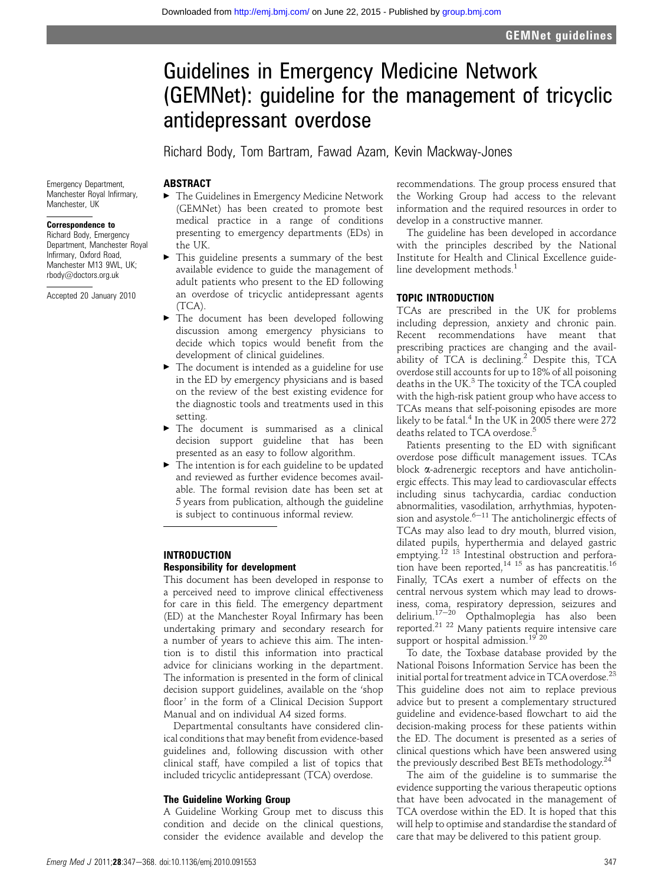# Guidelines in Emergency Medicine Network (GEMNet): guideline for the management of tricyclic antidepressant overdose

Richard Body, Tom Bartram, Fawad Azam, Kevin Mackway-Jones

## **ABSTRACT**

Emergency Department, Manchester Royal Infirmary, Manchester, UK

#### Correspondence to

Richard Body, Emergency Department, Manchester Royal Infirmary, Oxford Road, Manchester M13 9WL, UK; rbody@doctors.org.uk

Accepted 20 January 2010

- ▶ The Guidelines in Emergency Medicine Network (GEMNet) has been created to promote best medical practice in a range of conditions presenting to emergency departments (EDs) in the UK.
- < This guideline presents a summary of the best available evidence to guide the management of adult patients who present to the ED following an overdose of tricyclic antidepressant agents (TCA).
- < The document has been developed following discussion among emergency physicians to decide which topics would benefit from the development of clinical guidelines.
- < The document is intended as a guideline for use in the ED by emergency physicians and is based on the review of the best existing evidence for the diagnostic tools and treatments used in this setting.
- The document is summarised as a clinical decision support guideline that has been presented as an easy to follow algorithm.
- The intention is for each guideline to be updated and reviewed as further evidence becomes available. The formal revision date has been set at 5 years from publication, although the guideline is subject to continuous informal review.

# INTRODUCTION

## Responsibility for development

This document has been developed in response to a perceived need to improve clinical effectiveness for care in this field. The emergency department (ED) at the Manchester Royal Infirmary has been undertaking primary and secondary research for a number of years to achieve this aim. The intention is to distil this information into practical advice for clinicians working in the department. The information is presented in the form of clinical decision support guidelines, available on the 'shop floor' in the form of a Clinical Decision Support Manual and on individual A4 sized forms.

Departmental consultants have considered clinical conditions that may benefit from evidence-based guidelines and, following discussion with other clinical staff, have compiled a list of topics that included tricyclic antidepressant (TCA) overdose.

#### The Guideline Working Group

A Guideline Working Group met to discuss this condition and decide on the clinical questions, consider the evidence available and develop the recommendations. The group process ensured that the Working Group had access to the relevant information and the required resources in order to develop in a constructive manner.

The guideline has been developed in accordance with the principles described by the National Institute for Health and Clinical Excellence guideline development methods.<sup>1</sup>

#### TOPIC INTRODUCTION

TCAs are prescribed in the UK for problems including depression, anxiety and chronic pain. Recent recommendations have meant that prescribing practices are changing and the availability of TCA is declining.<sup>2</sup> Despite this, TCA overdose still accounts for up to 18% of all poisoning deaths in the UK.<sup>3</sup> The toxicity of the TCA coupled with the high-risk patient group who have access to TCAs means that self-poisoning episodes are more likely to be fatal.<sup>4</sup> In the UK in  $2005$  there were 272 deaths related to TCA overdose.<sup>5</sup>

Patients presenting to the ED with significant overdose pose difficult management issues. TCAs block a-adrenergic receptors and have anticholinergic effects. This may lead to cardiovascular effects including sinus tachycardia, cardiac conduction abnormalities, vasodilation, arrhythmias, hypotension and asystole.<sup>6-11</sup> The anticholinergic effects of TCAs may also lead to dry mouth, blurred vision, dilated pupils, hyperthermia and delayed gastric emptying.<sup>12</sup><sup>13</sup> Intestinal obstruction and perforation have been reported,<sup>14 15</sup> as has pancreatitis.<sup>16</sup> Finally, TCAs exert a number of effects on the central nervous system which may lead to drowsiness, coma, respiratory depression, seizures and  $\text{delirium.}^{17-20}$  Opthalmoplegia has also been reported.21 22 Many patients require intensive care support or hospital admission.<sup>19</sup><sup>20</sup>

To date, the Toxbase database provided by the National Poisons Information Service has been the initial portal for treatment advice in TCA overdose. $^{23}$ This guideline does not aim to replace previous advice but to present a complementary structured guideline and evidence-based flowchart to aid the decision-making process for these patients within the ED. The document is presented as a series of clinical questions which have been answered using the previously described Best BETs methodology.<sup>24</sup>

The aim of the guideline is to summarise the evidence supporting the various therapeutic options that have been advocated in the management of TCA overdose within the ED. It is hoped that this will help to optimise and standardise the standard of care that may be delivered to this patient group.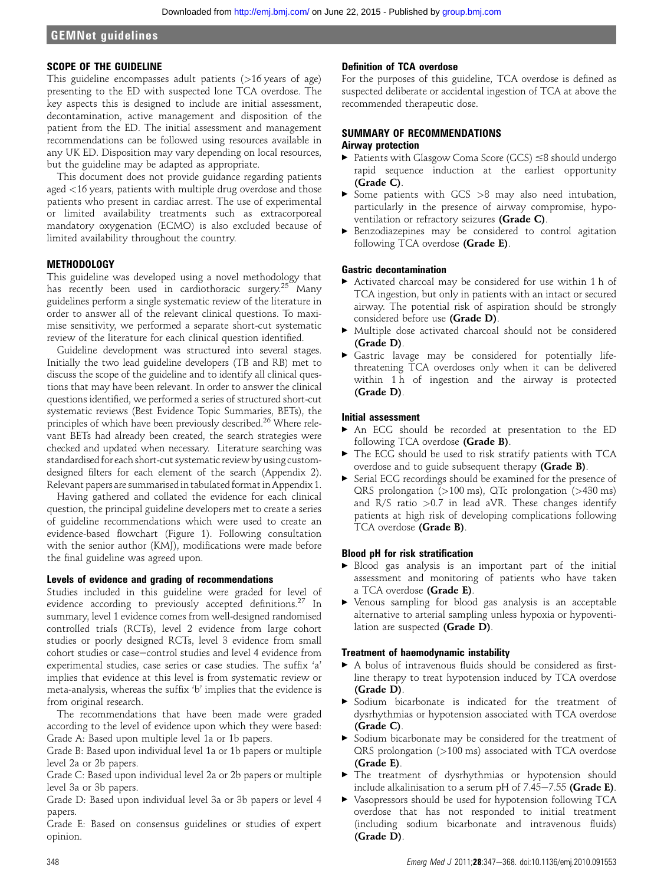#### SCOPE OF THE GUIDELINE

This guideline encompasses adult patients (>16 years of age) presenting to the ED with suspected lone TCA overdose. The key aspects this is designed to include are initial assessment, decontamination, active management and disposition of the patient from the ED. The initial assessment and management recommendations can be followed using resources available in any UK ED. Disposition may vary depending on local resources, but the guideline may be adapted as appropriate.

This document does not provide guidance regarding patients aged <16 years, patients with multiple drug overdose and those patients who present in cardiac arrest. The use of experimental or limited availability treatments such as extracorporeal mandatory oxygenation (ECMO) is also excluded because of limited availability throughout the country.

#### METHODOLOGY

This guideline was developed using a novel methodology that has recently been used in cardiothoracic surgery.<sup>25</sup> Many guidelines perform a single systematic review of the literature in order to answer all of the relevant clinical questions. To maximise sensitivity, we performed a separate short-cut systematic review of the literature for each clinical question identified.

Guideline development was structured into several stages. Initially the two lead guideline developers (TB and RB) met to discuss the scope of the guideline and to identify all clinical questions that may have been relevant. In order to answer the clinical questions identified, we performed a series of structured short-cut systematic reviews (Best Evidence Topic Summaries, BETs), the principles of which have been previously described.26 Where relevant BETs had already been created, the search strategies were checked and updated when necessary. Literature searching was standardised for each short-cut systematic review by using customdesigned filters for each element of the search (Appendix 2). Relevant papers are summarised in tabulated format in Appendix 1.

Having gathered and collated the evidence for each clinical question, the principal guideline developers met to create a series of guideline recommendations which were used to create an evidence-based flowchart (Figure 1). Following consultation with the senior author (KMJ), modifications were made before the final guideline was agreed upon.

#### Levels of evidence and grading of recommendations

Studies included in this guideline were graded for level of evidence according to previously accepted definitions.<sup>27</sup> In summary, level 1 evidence comes from well-designed randomised controlled trials (RCTs), level 2 evidence from large cohort studies or poorly designed RCTs, level 3 evidence from small cohort studies or case-control studies and level 4 evidence from experimental studies, case series or case studies. The suffix 'a' implies that evidence at this level is from systematic review or meta-analysis, whereas the suffix 'b' implies that the evidence is from original research.

The recommendations that have been made were graded according to the level of evidence upon which they were based: Grade A: Based upon multiple level 1a or 1b papers.

Grade B: Based upon individual level 1a or 1b papers or multiple level 2a or 2b papers.

Grade C: Based upon individual level 2a or 2b papers or multiple level 3a or 3b papers.

Grade D: Based upon individual level 3a or 3b papers or level 4 papers.

Grade E: Based on consensus guidelines or studies of expert opinion.

#### Definition of TCA overdose

For the purposes of this guideline, TCA overdose is defined as suspected deliberate or accidental ingestion of TCA at above the recommended therapeutic dose.

# SUMMARY OF RECOMMENDATIONS

#### Airway protection

- $\blacktriangleright$  Patients with Glasgow Coma Score (GCS)  $\leq$ 8 should undergo rapid sequence induction at the earliest opportunity (Grade C).
- Some patients with  $GCS >8$  may also need intubation, particularly in the presence of airway compromise, hypoventilation or refractory seizures (Grade C).
- < Benzodiazepines may be considered to control agitation following TCA overdose (Grade E).

## Gastric decontamination

- < Activated charcoal may be considered for use within 1 h of TCA ingestion, but only in patients with an intact or secured airway. The potential risk of aspiration should be strongly considered before use (Grade D).
- < Multiple dose activated charcoal should not be considered (Grade D).
- < Gastric lavage may be considered for potentially lifethreatening TCA overdoses only when it can be delivered within 1 h of ingestion and the airway is protected (Grade D).

#### Initial assessment

- ▶ An ECG should be recorded at presentation to the ED following TCA overdose (Grade B).
- The ECG should be used to risk stratify patients with TCA overdose and to guide subsequent therapy (Grade B).
- < Serial ECG recordings should be examined for the presence of QRS prolongation (>100 ms), QTc prolongation (>430 ms) and  $R/S$  ratio  $>0.7$  in lead aVR. These changes identify patients at high risk of developing complications following TCA overdose (Grade B).

#### Blood pH for risk stratification

- $\blacktriangleright$  Blood gas analysis is an important part of the initial assessment and monitoring of patients who have taken a TCA overdose (Grade E).
- < Venous sampling for blood gas analysis is an acceptable alternative to arterial sampling unless hypoxia or hypoventilation are suspected (Grade D).

#### Treatment of haemodynamic instability

- < A bolus of intravenous fluids should be considered as firstline therapy to treat hypotension induced by TCA overdose (Grade D).
- < Sodium bicarbonate is indicated for the treatment of dysrhythmias or hypotension associated with TCA overdose (Grade C).
- < Sodium bicarbonate may be considered for the treatment of QRS prolongation (>100 ms) associated with TCA overdose (Grade E).
- The treatment of dysrhythmias or hypotension should include alkalinisation to a serum pH of  $7.45-7.55$  (Grade E).
- < Vasopressors should be used for hypotension following TCA overdose that has not responded to initial treatment (including sodium bicarbonate and intravenous fluids) (Grade D).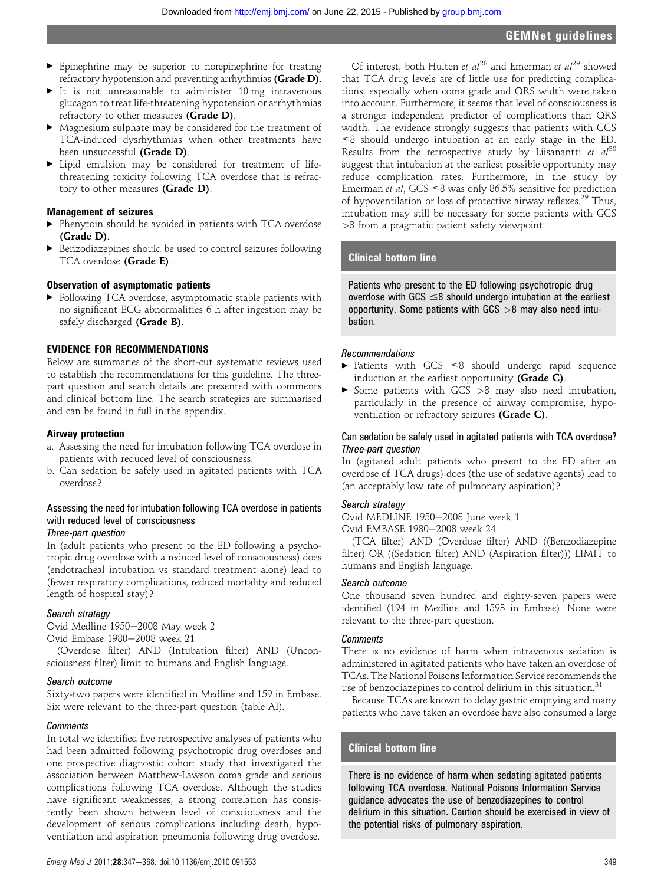- < Epinephrine may be superior to norepinephrine for treating refractory hypotension and preventing arrhythmias (Grade D).
- $\blacktriangleright$  It is not unreasonable to administer 10 mg intravenous glucagon to treat life-threatening hypotension or arrhythmias refractory to other measures (Grade D).
- < Magnesium sulphate may be considered for the treatment of TCA-induced dysrhythmias when other treatments have been unsuccessful (Grade D).
- < Lipid emulsion may be considered for treatment of lifethreatening toxicity following TCA overdose that is refractory to other measures (Grade D).

#### Management of seizures

- ▶ Phenytoin should be avoided in patients with TCA overdose (Grade D).
- < Benzodiazepines should be used to control seizures following TCA overdose (Grade E).

#### Observation of asymptomatic patients

▶ Following TCA overdose, asymptomatic stable patients with no significant ECG abnormalities 6 h after ingestion may be safely discharged (Grade B).

#### EVIDENCE FOR RECOMMENDATIONS

Below are summaries of the short-cut systematic reviews used to establish the recommendations for this guideline. The threepart question and search details are presented with comments and clinical bottom line. The search strategies are summarised and can be found in full in the appendix.

#### Airway protection

- a. Assessing the need for intubation following TCA overdose in patients with reduced level of consciousness.
- b. Can sedation be safely used in agitated patients with TCA overdose?

# Assessing the need for intubation following TCA overdose in patients with reduced level of consciousness

## Three-part question

In (adult patients who present to the ED following a psychotropic drug overdose with a reduced level of consciousness) does (endotracheal intubation vs standard treatment alone) lead to (fewer respiratory complications, reduced mortality and reduced length of hospital stay)?

## Search strategy

Ovid Medline 1950-2008 May week 2 Ovid Embase 1980-2008 week 21

(Overdose filter) AND (Intubation filter) AND (Uncon-

sciousness filter) limit to humans and English language.

#### Search outcome

Sixty-two papers were identified in Medline and 159 in Embase. Six were relevant to the three-part question (table AI).

#### **Comments**

In total we identified five retrospective analyses of patients who had been admitted following psychotropic drug overdoses and one prospective diagnostic cohort study that investigated the association between Matthew-Lawson coma grade and serious complications following TCA overdose. Although the studies have significant weaknesses, a strong correlation has consistently been shown between level of consciousness and the development of serious complications including death, hypoventilation and aspiration pneumonia following drug overdose.

Of interest, both Hulten et  $al^{28}$  and Emerman et  $al^{29}$  showed that TCA drug levels are of little use for predicting complications, especially when coma grade and QRS width were taken into account. Furthermore, it seems that level of consciousness is a stronger independent predictor of complications than QRS width. The evidence strongly suggests that patients with GCS  $\leq$ 8 should undergo intubation at an early stage in the ED. Results from the retrospective study by Liisanantti et  $aI^{30}$ suggest that intubation at the earliest possible opportunity may reduce complication rates. Furthermore, in the study by Emerman et al,  $GCS \leq 8$  was only 86.5% sensitive for prediction of hypoventilation or loss of protective airway reflexes.29 Thus, intubation may still be necessary for some patients with GCS >8 from a pragmatic patient safety viewpoint.

## Clinical bottom line

Patients who present to the ED following psychotropic drug overdose with  $GCS \leq 8$  should undergo intubation at the earliest opportunity. Some patients with  $GCS > 8$  may also need intubation.

#### Recommendations

- $\triangleright$  Patients with GCS  $\leq$ 8 should undergo rapid sequence induction at the earliest opportunity (Grade C).
- Some patients with  $GCS > 8$  may also need intubation, particularly in the presence of airway compromise, hypoventilation or refractory seizures (Grade C).

#### Can sedation be safely used in agitated patients with TCA overdose? Three-part question

In (agitated adult patients who present to the ED after an overdose of TCA drugs) does (the use of sedative agents) lead to (an acceptably low rate of pulmonary aspiration)?

## Search strategy

Ovid MEDLINE 1950-2008 June week 1

Ovid EMBASE 1980-2008 week 24

(TCA filter) AND (Overdose filter) AND ((Benzodiazepine filter) OR ((Sedation filter) AND (Aspiration filter))) LIMIT to humans and English language.

#### Search outcome

One thousand seven hundred and eighty-seven papers were identified (194 in Medline and 1593 in Embase). None were relevant to the three-part question.

#### **Comments**

There is no evidence of harm when intravenous sedation is administered in agitated patients who have taken an overdose of TCAs. The National Poisons Information Service recommends the use of benzodiazepines to control delirium in this situation.<sup>31</sup>

Because TCAs are known to delay gastric emptying and many patients who have taken an overdose have also consumed a large

## Clinical bottom line

There is no evidence of harm when sedating agitated patients following TCA overdose. National Poisons Information Service guidance advocates the use of benzodiazepines to control delirium in this situation. Caution should be exercised in view of the potential risks of pulmonary aspiration.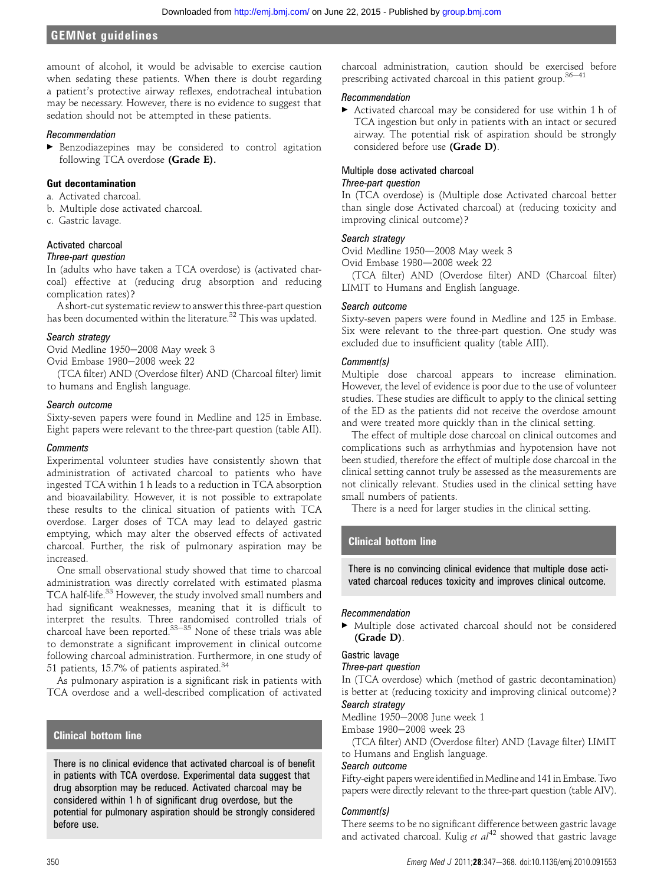amount of alcohol, it would be advisable to exercise caution when sedating these patients. When there is doubt regarding a patient's protective airway reflexes, endotracheal intubation may be necessary. However, there is no evidence to suggest that sedation should not be attempted in these patients.

#### Recommendation

 $\triangleright$  Benzodiazepines may be considered to control agitation following TCA overdose (Grade E).

#### Gut decontamination

- a. Activated charcoal.
- b. Multiple dose activated charcoal.
- c. Gastric lavage.

## Activated charcoal

#### Three-part question

In (adults who have taken a TCA overdose) is (activated charcoal) effective at (reducing drug absorption and reducing complication rates)?

A short-cut systematic review to answer this three-part question has been documented within the literature.<sup>32</sup> This was updated.

#### Search strategy

Ovid Medline 1950-2008 May week 3

Ovid Embase 1980-2008 week 22

(TCA filter) AND (Overdose filter) AND (Charcoal filter) limit to humans and English language.

#### Search outcome

Sixty-seven papers were found in Medline and 125 in Embase. Eight papers were relevant to the three-part question (table AII).

#### Comments

Experimental volunteer studies have consistently shown that administration of activated charcoal to patients who have ingested TCA within 1 h leads to a reduction in TCA absorption and bioavailability. However, it is not possible to extrapolate these results to the clinical situation of patients with TCA overdose. Larger doses of TCA may lead to delayed gastric emptying, which may alter the observed effects of activated charcoal. Further, the risk of pulmonary aspiration may be increased.

One small observational study showed that time to charcoal administration was directly correlated with estimated plasma TCA half-life.<sup>33</sup> However, the study involved small numbers and had significant weaknesses, meaning that it is difficult to interpret the results. Three randomised controlled trials of<br>charcoal have been reported.<sup>33–35</sup> None of these trials was able to demonstrate a significant improvement in clinical outcome following charcoal administration. Furthermore, in one study of 51 patients, 15.7% of patients aspirated.<sup>34</sup>

As pulmonary aspiration is a significant risk in patients with TCA overdose and a well-described complication of activated

#### Clinical bottom line

There is no clinical evidence that activated charcoal is of benefit in patients with TCA overdose. Experimental data suggest that drug absorption may be reduced. Activated charcoal may be considered within 1 h of significant drug overdose, but the potential for pulmonary aspiration should be strongly considered before use.

charcoal administration, caution should be exercised before prescribing activated charcoal in this patient group. $36-41$ 

#### Recommendation

< Activated charcoal may be considered for use within 1 h of TCA ingestion but only in patients with an intact or secured airway. The potential risk of aspiration should be strongly considered before use (Grade D).

#### Multiple dose activated charcoal Three-part question

In (TCA overdose) is (Multiple dose Activated charcoal better than single dose Activated charcoal) at (reducing toxicity and improving clinical outcome)?

## Search strategy

Ovid Medline 1950-2008 May week 3

Ovid Embase 1980-2008 week 22

(TCA filter) AND (Overdose filter) AND (Charcoal filter) LIMIT to Humans and English language.

#### Search outcome

Sixty-seven papers were found in Medline and 125 in Embase. Six were relevant to the three-part question. One study was excluded due to insufficient quality (table AIII).

#### Comment(s)

Multiple dose charcoal appears to increase elimination. However, the level of evidence is poor due to the use of volunteer studies. These studies are difficult to apply to the clinical setting of the ED as the patients did not receive the overdose amount and were treated more quickly than in the clinical setting.

The effect of multiple dose charcoal on clinical outcomes and complications such as arrhythmias and hypotension have not been studied, therefore the effect of multiple dose charcoal in the clinical setting cannot truly be assessed as the measurements are not clinically relevant. Studies used in the clinical setting have small numbers of patients.

There is a need for larger studies in the clinical setting.

## Clinical bottom line

There is no convincing clinical evidence that multiple dose activated charcoal reduces toxicity and improves clinical outcome.

#### Recommendation

< Multiple dose activated charcoal should not be considered (Grade D).

## Gastric lavage

#### Three-part question

In (TCA overdose) which (method of gastric decontamination) is better at (reducing toxicity and improving clinical outcome)? Search strategy

# Medline 1950-2008 June week 1

Embase 1980-2008 week 23

(TCA filter) AND (Overdose filter) AND (Lavage filter) LIMIT to Humans and English language.

#### Search outcome

Fifty-eight papers were identified in Medline and 141 in Embase. Two papers were directly relevant to the three-part question (table AIV).

#### Comment(s)

There seems to be no significant difference between gastric lavage and activated charcoal. Kulig et  $al^{42}$  showed that gastric lavage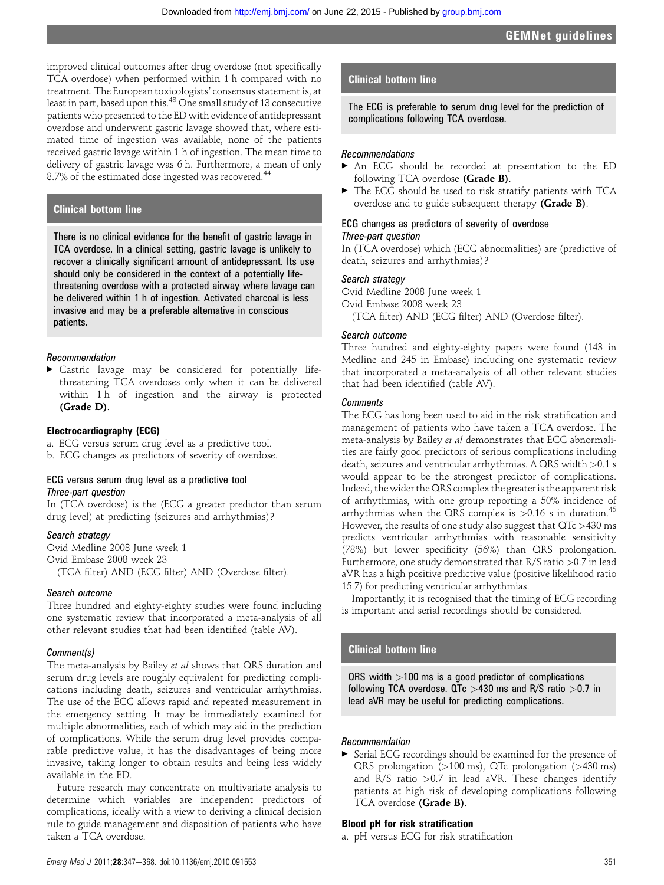improved clinical outcomes after drug overdose (not specifically TCA overdose) when performed within 1 h compared with no treatment. The European toxicologists' consensus statement is, at least in part, based upon this.43 One small study of 13 consecutive patients who presented to the ED with evidence of antidepressant overdose and underwent gastric lavage showed that, where estimated time of ingestion was available, none of the patients received gastric lavage within 1 h of ingestion. The mean time to delivery of gastric lavage was 6 h. Furthermore, a mean of only 8.7% of the estimated dose ingested was recovered.<sup>44</sup>

## Clinical bottom line

There is no clinical evidence for the benefit of gastric lavage in TCA overdose. In a clinical setting, gastric lavage is unlikely to recover a clinically significant amount of antidepressant. Its use should only be considered in the context of a potentially lifethreatening overdose with a protected airway where lavage can be delivered within 1 h of ingestion. Activated charcoal is less invasive and may be a preferable alternative in conscious patients.

## Recommendation

< Gastric lavage may be considered for potentially lifethreatening TCA overdoses only when it can be delivered within 1 h of ingestion and the airway is protected (Grade D).

## Electrocardiography (ECG)

- a. ECG versus serum drug level as a predictive tool.
- b. ECG changes as predictors of severity of overdose.

## ECG versus serum drug level as a predictive tool Three-part question

In (TCA overdose) is the (ECG a greater predictor than serum drug level) at predicting (seizures and arrhythmias)?

#### Search strategy

Ovid Medline 2008 June week 1 Ovid Embase 2008 week 23 (TCA filter) AND (ECG filter) AND (Overdose filter).

#### Search outcome

Three hundred and eighty-eighty studies were found including one systematic review that incorporated a meta-analysis of all other relevant studies that had been identified (table AV).

#### Comment(s)

The meta-analysis by Bailey et al shows that QRS duration and serum drug levels are roughly equivalent for predicting complications including death, seizures and ventricular arrhythmias. The use of the ECG allows rapid and repeated measurement in the emergency setting. It may be immediately examined for multiple abnormalities, each of which may aid in the prediction of complications. While the serum drug level provides comparable predictive value, it has the disadvantages of being more invasive, taking longer to obtain results and being less widely available in the ED.

Future research may concentrate on multivariate analysis to determine which variables are independent predictors of complications, ideally with a view to deriving a clinical decision rule to guide management and disposition of patients who have taken a TCA overdose.

#### Clinical bottom line

The ECG is preferable to serum drug level for the prediction of complications following TCA overdose.

#### Recommendations

- ▶ An ECG should be recorded at presentation to the ED following TCA overdose (Grade B).
- $\blacktriangleright$  The ECG should be used to risk stratify patients with TCA overdose and to guide subsequent therapy (Grade B).

#### ECG changes as predictors of severity of overdose Three-part question

In (TCA overdose) which (ECG abnormalities) are (predictive of death, seizures and arrhythmias)?

#### Search strategy

Ovid Medline 2008 June week 1 Ovid Embase 2008 week 23

(TCA filter) AND (ECG filter) AND (Overdose filter).

#### Search outcome

Three hundred and eighty-eighty papers were found (143 in Medline and 245 in Embase) including one systematic review that incorporated a meta-analysis of all other relevant studies that had been identified (table AV).

#### **Comments**

The ECG has long been used to aid in the risk stratification and management of patients who have taken a TCA overdose. The meta-analysis by Bailey et al demonstrates that ECG abnormalities are fairly good predictors of serious complications including death, seizures and ventricular arrhythmias. A QRS width >0.1 s would appear to be the strongest predictor of complications. Indeed, the wider the QRS complex the greater is the apparent risk of arrhythmias, with one group reporting a 50% incidence of arrhythmias when the QRS complex is  $>0.16$  s in duration.<sup>45</sup> However, the results of one study also suggest that QTc >430 ms predicts ventricular arrhythmias with reasonable sensitivity (78%) but lower specificity (56%) than QRS prolongation. Furthermore, one study demonstrated that R/S ratio >0.7 in lead aVR has a high positive predictive value (positive likelihood ratio 15.7) for predicting ventricular arrhythmias.

Importantly, it is recognised that the timing of ECG recording is important and serial recordings should be considered.

#### Clinical bottom line

QRS width >100 ms is a good predictor of complications following TCA overdose. QTc >430 ms and R/S ratio >0.7 in lead aVR may be useful for predicting complications.

#### Recommendation

▶ Serial ECG recordings should be examined for the presence of QRS prolongation (>100 ms), QTc prolongation (>430 ms) and  $R/S$  ratio  $>0.7$  in lead aVR. These changes identify patients at high risk of developing complications following TCA overdose (Grade B).

#### Blood pH for risk stratification

a. pH versus ECG for risk stratification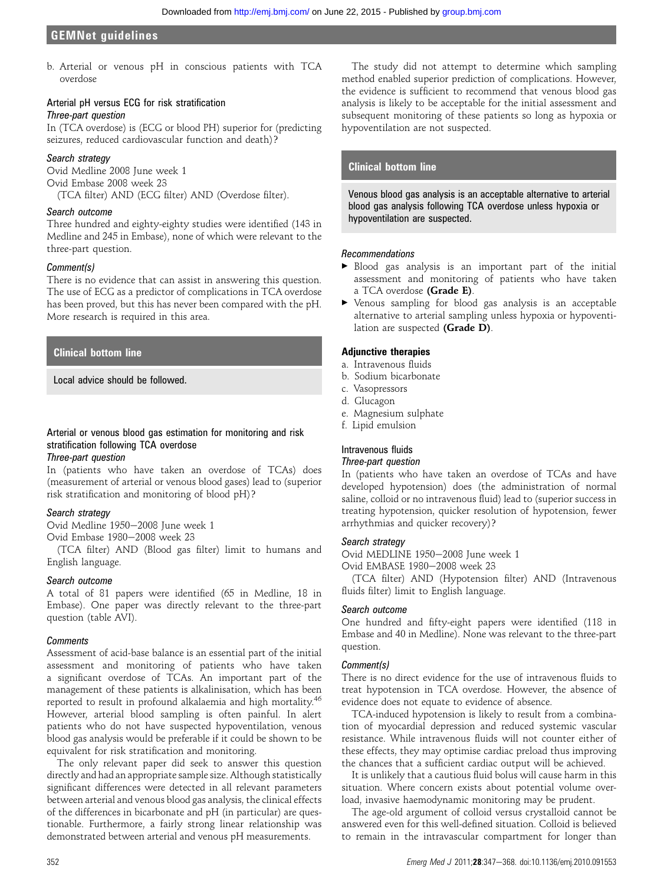b. Arterial or venous pH in conscious patients with TCA overdose

#### Arterial pH versus ECG for risk stratification Three-part question

In (TCA overdose) is (ECG or blood PH) superior for (predicting seizures, reduced cardiovascular function and death)?

#### Search strategy

Ovid Medline 2008 June week 1 Ovid Embase 2008 week 23 (TCA filter) AND (ECG filter) AND (Overdose filter).

#### Search outcome

Three hundred and eighty-eighty studies were identified (143 in Medline and 245 in Embase), none of which were relevant to the three-part question.

#### Comment(s)

There is no evidence that can assist in answering this question. The use of ECG as a predictor of complications in TCA overdose has been proved, but this has never been compared with the pH. More research is required in this area.

## Clinical bottom line

Local advice should be followed.

# Arterial or venous blood gas estimation for monitoring and risk stratification following TCA overdose

## Three-part question

In (patients who have taken an overdose of TCAs) does (measurement of arterial or venous blood gases) lead to (superior risk stratification and monitoring of blood pH)?

#### Search strategy

Ovid Medline 1950-2008 June week 1 Ovid Embase 1980-2008 week 23

(TCA filter) AND (Blood gas filter) limit to humans and English language.

#### Search outcome

A total of 81 papers were identified (65 in Medline, 18 in Embase). One paper was directly relevant to the three-part question (table AVI).

#### **Comments**

Assessment of acid-base balance is an essential part of the initial assessment and monitoring of patients who have taken a significant overdose of TCAs. An important part of the management of these patients is alkalinisation, which has been reported to result in profound alkalaemia and high mortality.<sup>46</sup> However, arterial blood sampling is often painful. In alert patients who do not have suspected hypoventilation, venous blood gas analysis would be preferable if it could be shown to be equivalent for risk stratification and monitoring.

The only relevant paper did seek to answer this question directly and had an appropriate sample size. Although statistically significant differences were detected in all relevant parameters between arterial and venous blood gas analysis, the clinical effects of the differences in bicarbonate and pH (in particular) are questionable. Furthermore, a fairly strong linear relationship was demonstrated between arterial and venous pH measurements.

The study did not attempt to determine which sampling method enabled superior prediction of complications. However, the evidence is sufficient to recommend that venous blood gas analysis is likely to be acceptable for the initial assessment and subsequent monitoring of these patients so long as hypoxia or hypoventilation are not suspected.

## Clinical bottom line

Venous blood gas analysis is an acceptable alternative to arterial blood gas analysis following TCA overdose unless hypoxia or hypoventilation are suspected.

#### Recommendations

- $\blacktriangleright$  Blood gas analysis is an important part of the initial assessment and monitoring of patients who have taken a TCA overdose (Grade E).
- < Venous sampling for blood gas analysis is an acceptable alternative to arterial sampling unless hypoxia or hypoventilation are suspected (Grade D).

## Adjunctive therapies

- a. Intravenous fluids
- b. Sodium bicarbonate
- c. Vasopressors
- d. Glucagon
- e. Magnesium sulphate
- f. Lipid emulsion

# Intravenous fluids

#### Three-part question

In (patients who have taken an overdose of TCAs and have developed hypotension) does (the administration of normal saline, colloid or no intravenous fluid) lead to (superior success in treating hypotension, quicker resolution of hypotension, fewer arrhythmias and quicker recovery)?

#### Search strategy

Ovid MEDLINE 1950-2008 June week 1

Ovid EMBASE 1980-2008 week 23

(TCA filter) AND (Hypotension filter) AND (Intravenous fluids filter) limit to English language.

## Search outcome

One hundred and fifty-eight papers were identified (118 in Embase and 40 in Medline). None was relevant to the three-part question.

#### Comment(s)

There is no direct evidence for the use of intravenous fluids to treat hypotension in TCA overdose. However, the absence of evidence does not equate to evidence of absence.

TCA-induced hypotension is likely to result from a combination of myocardial depression and reduced systemic vascular resistance. While intravenous fluids will not counter either of these effects, they may optimise cardiac preload thus improving the chances that a sufficient cardiac output will be achieved.

It is unlikely that a cautious fluid bolus will cause harm in this situation. Where concern exists about potential volume overload, invasive haemodynamic monitoring may be prudent.

The age-old argument of colloid versus crystalloid cannot be answered even for this well-defined situation. Colloid is believed to remain in the intravascular compartment for longer than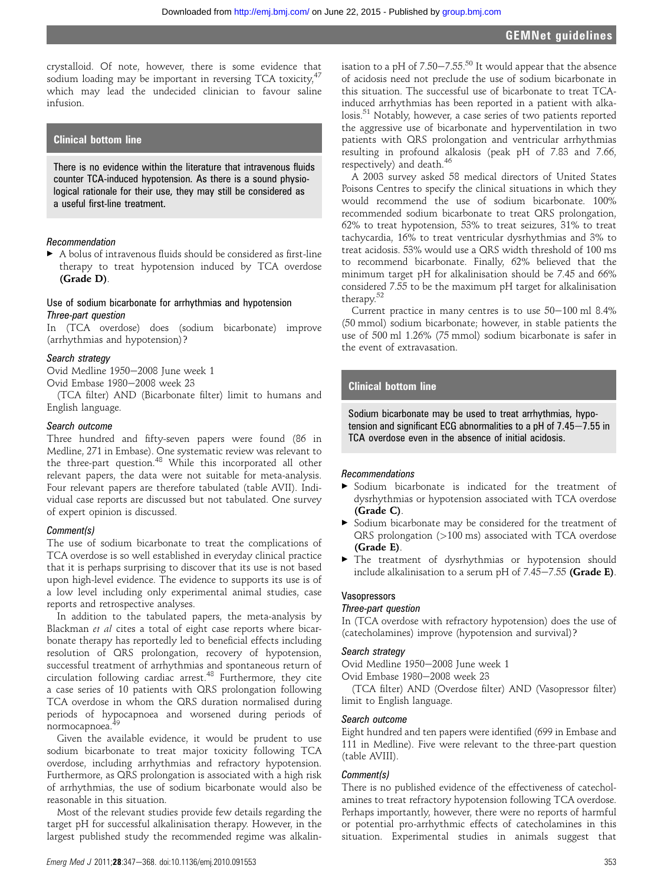crystalloid. Of note, however, there is some evidence that sodium loading may be important in reversing TCA toxicity, $47$ which may lead the undecided clinician to favour saline infusion.

## Clinical bottom line

There is no evidence within the literature that intravenous fluids counter TCA-induced hypotension. As there is a sound physiological rationale for their use, they may still be considered as a useful first-line treatment.

#### Recommendation

 $\blacktriangleright$  A bolus of intravenous fluids should be considered as first-line therapy to treat hypotension induced by TCA overdose (Grade D).

#### Use of sodium bicarbonate for arrhythmias and hypotension Three-part question

In (TCA overdose) does (sodium bicarbonate) improve (arrhythmias and hypotension)?

#### Search strategy

Ovid Medline 1950-2008 June week 1

Ovid Embase 1980-2008 week 23

(TCA filter) AND (Bicarbonate filter) limit to humans and English language.

## Search outcome

Three hundred and fifty-seven papers were found (86 in Medline, 271 in Embase). One systematic review was relevant to the three-part question.<sup>48</sup> While this incorporated all other relevant papers, the data were not suitable for meta-analysis. Four relevant papers are therefore tabulated (table AVII). Individual case reports are discussed but not tabulated. One survey of expert opinion is discussed.

#### Comment(s)

The use of sodium bicarbonate to treat the complications of TCA overdose is so well established in everyday clinical practice that it is perhaps surprising to discover that its use is not based upon high-level evidence. The evidence to supports its use is of a low level including only experimental animal studies, case reports and retrospective analyses.

In addition to the tabulated papers, the meta-analysis by Blackman et al cites a total of eight case reports where bicarbonate therapy has reportedly led to beneficial effects including resolution of QRS prolongation, recovery of hypotension, successful treatment of arrhythmias and spontaneous return of circulation following cardiac arrest.<sup>48</sup> Furthermore, they cite a case series of 10 patients with QRS prolongation following TCA overdose in whom the QRS duration normalised during periods of hypocapnoea and worsened during periods of normocapnoea.<sup>49</sup>

Given the available evidence, it would be prudent to use sodium bicarbonate to treat major toxicity following TCA overdose, including arrhythmias and refractory hypotension. Furthermore, as QRS prolongation is associated with a high risk of arrhythmias, the use of sodium bicarbonate would also be reasonable in this situation.

Most of the relevant studies provide few details regarding the target pH for successful alkalinisation therapy. However, in the largest published study the recommended regime was alkalin-

isation to a pH of  $7.50-7.55$ .<sup>50</sup> It would appear that the absence of acidosis need not preclude the use of sodium bicarbonate in this situation. The successful use of bicarbonate to treat TCAinduced arrhythmias has been reported in a patient with alkalosis.<sup>51</sup> Notably, however, a case series of two patients reported the aggressive use of bicarbonate and hyperventilation in two patients with QRS prolongation and ventricular arrhythmias resulting in profound alkalosis (peak pH of 7.83 and 7.66, respectively) and death.<sup>46</sup>

A 2003 survey asked 58 medical directors of United States Poisons Centres to specify the clinical situations in which they would recommend the use of sodium bicarbonate. 100% recommended sodium bicarbonate to treat QRS prolongation, 62% to treat hypotension, 53% to treat seizures, 31% to treat tachycardia, 16% to treat ventricular dysrhythmias and 3% to treat acidosis. 53% would use a QRS width threshold of 100 ms to recommend bicarbonate. Finally, 62% believed that the minimum target pH for alkalinisation should be 7.45 and 66% considered 7.55 to be the maximum pH target for alkalinisation therapy.<sup>52</sup>

Current practice in many centres is to use  $50-100$  ml  $8.4\%$ (50 mmol) sodium bicarbonate; however, in stable patients the use of 500 ml 1.26% (75 mmol) sodium bicarbonate is safer in the event of extravasation.

## Clinical bottom line

Sodium bicarbonate may be used to treat arrhythmias, hypotension and significant ECG abnormalities to a pH of  $7.45-7.55$  in TCA overdose even in the absence of initial acidosis.

#### Recommendations

- < Sodium bicarbonate is indicated for the treatment of dysrhythmias or hypotension associated with TCA overdose (Grade C).
- < Sodium bicarbonate may be considered for the treatment of QRS prolongation (>100 ms) associated with TCA overdose (Grade E).
- $\triangleright$  The treatment of dysrhythmias or hypotension should include alkalinisation to a serum pH of  $7.45-7.55$  (Grade E).

## Vasopressors

#### Three-part question

In (TCA overdose with refractory hypotension) does the use of (catecholamines) improve (hypotension and survival)?

#### Search strategy

Ovid Medline 1950-2008 June week 1

Ovid Embase 1980-2008 week 23

(TCA filter) AND (Overdose filter) AND (Vasopressor filter) limit to English language.

#### Search outcome

Eight hundred and ten papers were identified (699 in Embase and 111 in Medline). Five were relevant to the three-part question (table AVIII).

#### Comment(s)

There is no published evidence of the effectiveness of catecholamines to treat refractory hypotension following TCA overdose. Perhaps importantly, however, there were no reports of harmful or potential pro-arrhythmic effects of catecholamines in this situation. Experimental studies in animals suggest that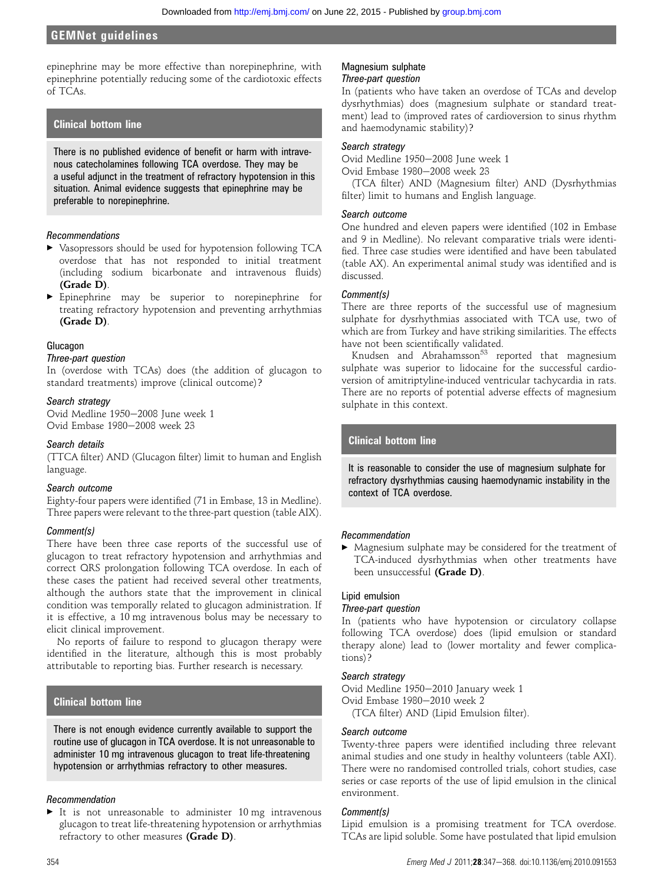epinephrine may be more effective than norepinephrine, with epinephrine potentially reducing some of the cardiotoxic effects of TCAs.

# Clinical bottom line

There is no published evidence of benefit or harm with intravenous catecholamines following TCA overdose. They may be a useful adjunct in the treatment of refractory hypotension in this situation. Animal evidence suggests that epinephrine may be preferable to norepinephrine.

## Recommendations

- < Vasopressors should be used for hypotension following TCA overdose that has not responded to initial treatment (including sodium bicarbonate and intravenous fluids) (Grade D).
- ▶ Epinephrine may be superior to norepinephrine for treating refractory hypotension and preventing arrhythmias (Grade D).

#### Glucagon

#### Three-part question

In (overdose with TCAs) does (the addition of glucagon to standard treatments) improve (clinical outcome)?

#### Search strategy

Ovid Medline 1950-2008 June week 1 Ovid Embase 1980-2008 week 23

#### Search details

(TTCA filter) AND (Glucagon filter) limit to human and English language.

#### Search outcome

Eighty-four papers were identified (71 in Embase, 13 in Medline). Three papers were relevant to the three-part question (table AIX).

#### Comment(s)

There have been three case reports of the successful use of glucagon to treat refractory hypotension and arrhythmias and correct QRS prolongation following TCA overdose. In each of these cases the patient had received several other treatments, although the authors state that the improvement in clinical condition was temporally related to glucagon administration. If it is effective, a 10 mg intravenous bolus may be necessary to elicit clinical improvement.

No reports of failure to respond to glucagon therapy were identified in the literature, although this is most probably attributable to reporting bias. Further research is necessary.

## Clinical bottom line

There is not enough evidence currently available to support the routine use of glucagon in TCA overdose. It is not unreasonable to administer 10 mg intravenous glucagon to treat life-threatening hypotension or arrhythmias refractory to other measures.

#### Recommendation

 $\blacktriangleright$  It is not unreasonable to administer 10 mg intravenous glucagon to treat life-threatening hypotension or arrhythmias refractory to other measures (Grade D).

# Magnesium sulphate

## Three-part question

In (patients who have taken an overdose of TCAs and develop dysrhythmias) does (magnesium sulphate or standard treatment) lead to (improved rates of cardioversion to sinus rhythm and haemodynamic stability)?

#### Search strategy

Ovid Medline 1950-2008 June week 1

Ovid Embase 1980-2008 week 23

(TCA filter) AND (Magnesium filter) AND (Dysrhythmias filter) limit to humans and English language.

#### Search outcome

One hundred and eleven papers were identified (102 in Embase and 9 in Medline). No relevant comparative trials were identified. Three case studies were identified and have been tabulated (table AX). An experimental animal study was identified and is discussed.

#### Comment(s)

There are three reports of the successful use of magnesium sulphate for dysrhythmias associated with TCA use, two of which are from Turkey and have striking similarities. The effects have not been scientifically validated.

Knudsen and Abrahamsson<sup>53</sup> reported that magnesium sulphate was superior to lidocaine for the successful cardioversion of amitriptyline-induced ventricular tachycardia in rats. There are no reports of potential adverse effects of magnesium sulphate in this context.

## Clinical bottom line

It is reasonable to consider the use of magnesium sulphate for refractory dysrhythmias causing haemodynamic instability in the context of TCA overdose.

#### Recommendation

< Magnesium sulphate may be considered for the treatment of TCA-induced dysrhythmias when other treatments have been unsuccessful (Grade D).

## Lipid emulsion

#### Three-part question

In (patients who have hypotension or circulatory collapse following TCA overdose) does (lipid emulsion or standard therapy alone) lead to (lower mortality and fewer complications)?

#### Search strategy

Ovid Medline 1950-2010 January week 1 Ovid Embase 1980-2010 week 2

(TCA filter) AND (Lipid Emulsion filter).

#### Search outcome

Twenty-three papers were identified including three relevant animal studies and one study in healthy volunteers (table AXI). There were no randomised controlled trials, cohort studies, case series or case reports of the use of lipid emulsion in the clinical environment.

#### Comment(s)

Lipid emulsion is a promising treatment for TCA overdose. TCAs are lipid soluble. Some have postulated that lipid emulsion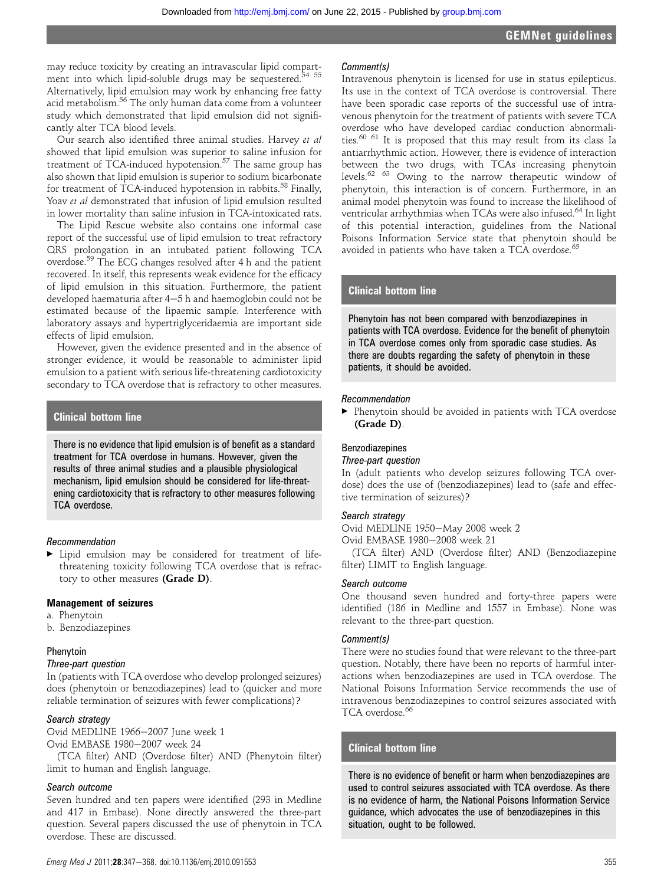may reduce toxicity by creating an intravascular lipid compartment into which lipid-soluble drugs may be sequestered.<sup>54</sup> <sup>55</sup> Alternatively, lipid emulsion may work by enhancing free fatty acid metabolism.<sup>56</sup> The only human data come from a volunteer study which demonstrated that lipid emulsion did not significantly alter TCA blood levels.

Our search also identified three animal studies. Harvey et al showed that lipid emulsion was superior to saline infusion for treatment of TCA-induced hypotension.<sup>57</sup> The same group has also shown that lipid emulsion is superior to sodium bicarbonate for treatment of TCA-induced hypotension in rabbits.<sup>58</sup> Finally, Yoav et al demonstrated that infusion of lipid emulsion resulted in lower mortality than saline infusion in TCA-intoxicated rats.

The Lipid Rescue website also contains one informal case report of the successful use of lipid emulsion to treat refractory QRS prolongation in an intubated patient following TCA overdose.<sup>59</sup> The ECG changes resolved after 4 h and the patient recovered. In itself, this represents weak evidence for the efficacy of lipid emulsion in this situation. Furthermore, the patient developed haematuria after  $4-5$  h and haemoglobin could not be estimated because of the lipaemic sample. Interference with laboratory assays and hypertriglyceridaemia are important side effects of lipid emulsion.

However, given the evidence presented and in the absence of stronger evidence, it would be reasonable to administer lipid emulsion to a patient with serious life-threatening cardiotoxicity secondary to TCA overdose that is refractory to other measures.

## Clinical bottom line

There is no evidence that lipid emulsion is of benefit as a standard treatment for TCA overdose in humans. However, given the results of three animal studies and a plausible physiological mechanism, lipid emulsion should be considered for life-threatening cardiotoxicity that is refractory to other measures following TCA overdose.

#### Recommendation

< Lipid emulsion may be considered for treatment of lifethreatening toxicity following TCA overdose that is refractory to other measures (Grade D).

#### Management of seizures

- a. Phenytoin
- b. Benzodiazepines

## Phenytoin

#### Three-part question

In (patients with TCA overdose who develop prolonged seizures) does (phenytoin or benzodiazepines) lead to (quicker and more reliable termination of seizures with fewer complications)?

## Search strategy

Ovid MEDLINE 1966-2007 June week 1 Ovid EMBASE 1980-2007 week 24 (TCA filter) AND (Overdose filter) AND (Phenytoin filter)

limit to human and English language.

## Search outcome

Seven hundred and ten papers were identified (293 in Medline and 417 in Embase). None directly answered the three-part question. Several papers discussed the use of phenytoin in TCA overdose. These are discussed.

#### Comment(s)

Intravenous phenytoin is licensed for use in status epilepticus. Its use in the context of TCA overdose is controversial. There have been sporadic case reports of the successful use of intravenous phenytoin for the treatment of patients with severe TCA overdose who have developed cardiac conduction abnormalities.<sup>60</sup> <sup>61</sup> It is proposed that this may result from its class Ia antiarrhythmic action. However, there is evidence of interaction between the two drugs, with TCAs increasing phenytoin levels.62 63 Owing to the narrow therapeutic window of phenytoin, this interaction is of concern. Furthermore, in an animal model phenytoin was found to increase the likelihood of ventricular arrhythmias when TCAs were also infused.<sup>64</sup> In light of this potential interaction, guidelines from the National Poisons Information Service state that phenytoin should be avoided in patients who have taken a TCA overdose.<sup>65</sup>

## Clinical bottom line

Phenytoin has not been compared with benzodiazepines in patients with TCA overdose. Evidence for the benefit of phenytoin in TCA overdose comes only from sporadic case studies. As there are doubts regarding the safety of phenytoin in these patients, it should be avoided.

#### Recommendation

▶ Phenytoin should be avoided in patients with TCA overdose (Grade D).

## Benzodiazepines

#### Three-part question

In (adult patients who develop seizures following TCA overdose) does the use of (benzodiazepines) lead to (safe and effective termination of seizures)?

## Search strategy

Ovid MEDLINE 1950-May 2008 week 2 Ovid EMBASE 1980-2008 week 21

(TCA filter) AND (Overdose filter) AND (Benzodiazepine filter) LIMIT to English language.

#### Search outcome

One thousand seven hundred and forty-three papers were identified (186 in Medline and 1557 in Embase). None was relevant to the three-part question.

#### Comment(s)

There were no studies found that were relevant to the three-part question. Notably, there have been no reports of harmful interactions when benzodiazepines are used in TCA overdose. The National Poisons Information Service recommends the use of intravenous benzodiazepines to control seizures associated with TCA overdose.<sup>66</sup>

## Clinical bottom line

There is no evidence of benefit or harm when benzodiazepines are used to control seizures associated with TCA overdose. As there is no evidence of harm, the National Poisons Information Service guidance, which advocates the use of benzodiazepines in this situation, ought to be followed.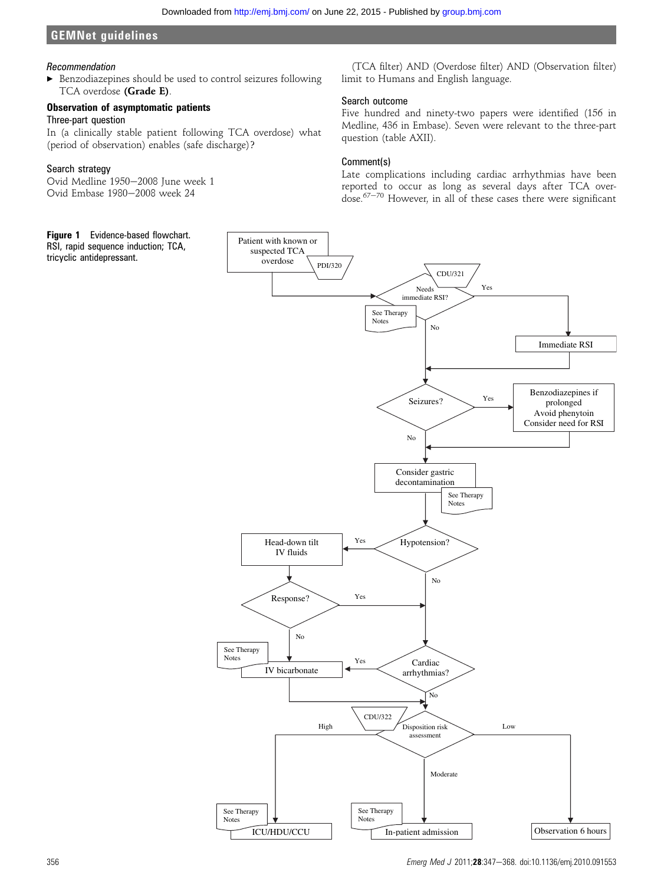#### Recommendation

▶ Benzodiazepines should be used to control seizures following TCA overdose (Grade E).

## Observation of asymptomatic patients Three-part question

In (a clinically stable patient following TCA overdose) what (period of observation) enables (safe discharge)?

## Search strategy

Ovid Medline 1950-2008 June week 1 Ovid Embase 1980-2008 week 24

limit to Humans and English language.

## Search outcome

Five hundred and ninety-two papers were identified (156 in Medline, 436 in Embase). Seven were relevant to the three-part question (table AXII).

(TCA filter) AND (Overdose filter) AND (Observation filter)

## Comment(s)

Late complications including cardiac arrhythmias have been reported to occur as long as several days after TCA overdose. $67-70$  However, in all of these cases there were significant

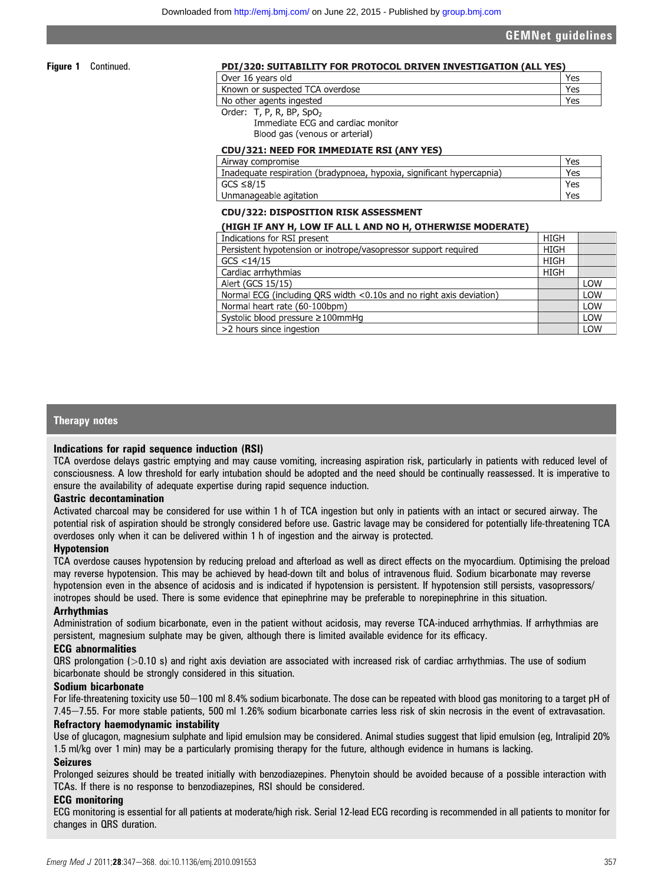Figure 1 Continued.

#### PDI/320: SUITABILITY FOR PROTOCOL DRIVEN INVESTIGATION (ALL YES)

| Over 16 years old                 | Yes |
|-----------------------------------|-----|
| Known or suspected TCA overdose   | Yes |
| No other agents ingested          | Yes |
| Order: T, P, R, BP, $SpO2$        |     |
| Immediate ECG and cardiac monitor |     |
| Blood gas (venous or arterial)    |     |

#### CDU/321: NEED FOR IMMEDIATE RSI (ANY YES)

| Airway compromise                                                     | Yes |
|-----------------------------------------------------------------------|-----|
| Inadequate respiration (bradypnoea, hypoxia, significant hypercapnia) | Yes |
| $\mid$ GCS $\leq$ 8/15                                                | Yes |
| Unmanageable agitation                                                | Yes |

#### **CDU/322: DISPOSITION RISK ASSESSMENT**

#### (HIGH IF ANY H, LOW IF ALL L AND NO H, OTHERWISE MODERATE)

| Indications for RSI present                                         | <b>HIGH</b> |            |
|---------------------------------------------------------------------|-------------|------------|
| Persistent hypotension or inotrope/vasopressor support required     | <b>HIGH</b> |            |
| GCS < 14/15                                                         | <b>HIGH</b> |            |
| Cardiac arrhythmias                                                 | <b>HIGH</b> |            |
| Alert (GCS 15/15)                                                   |             | LOW        |
| Normal ECG (including QRS width <0.10s and no right axis deviation) |             | LOW        |
| Normal heart rate (60-100bpm)                                       |             | <b>LOW</b> |
| Systolic blood pressure ≥100mmHq                                    |             | LOW        |
| >2 hours since ingestion                                            |             | LOW        |

#### Therapy notes

#### Indications for rapid sequence induction (RSI)

TCA overdose delays gastric emptying and may cause vomiting, increasing aspiration risk, particularly in patients with reduced level of consciousness. A low threshold for early intubation should be adopted and the need should be continually reassessed. It is imperative to ensure the availability of adequate expertise during rapid sequence induction.

#### Gastric decontamination

Activated charcoal may be considered for use within 1 h of TCA ingestion but only in patients with an intact or secured airway. The potential risk of aspiration should be strongly considered before use. Gastric lavage may be considered for potentially life-threatening TCA overdoses only when it can be delivered within 1 h of ingestion and the airway is protected.

#### Hypotension

TCA overdose causes hypotension by reducing preload and afterload as well as direct effects on the myocardium. Optimising the preload may reverse hypotension. This may be achieved by head-down tilt and bolus of intravenous fluid. Sodium bicarbonate may reverse hypotension even in the absence of acidosis and is indicated if hypotension is persistent. If hypotension still persists, vasopressors/ inotropes should be used. There is some evidence that epinephrine may be preferable to norepinephrine in this situation.

#### **Arrhythmias**

Administration of sodium bicarbonate, even in the patient without acidosis, may reverse TCA-induced arrhythmias. If arrhythmias are persistent, magnesium sulphate may be given, although there is limited available evidence for its efficacy.

#### ECG abnormalities

QRS prolongation (>0.10 s) and right axis deviation are associated with increased risk of cardiac arrhythmias. The use of sodium bicarbonate should be strongly considered in this situation.

#### Sodium bicarbonate

For life-threatening toxicity use 50-100 ml 8.4% sodium bicarbonate. The dose can be repeated with blood gas monitoring to a target pH of 7.45–7.55. For more stable patients, 500 ml 1.26% sodium bicarbonate carries less risk of skin necrosis in the event of extravasation.

## Refractory haemodynamic instability

Use of glucagon, magnesium sulphate and lipid emulsion may be considered. Animal studies suggest that lipid emulsion (eg, Intralipid 20% 1.5 ml/kg over 1 min) may be a particularly promising therapy for the future, although evidence in humans is lacking.

#### Seizures

Prolonged seizures should be treated initially with benzodiazepines. Phenytoin should be avoided because of a possible interaction with TCAs. If there is no response to benzodiazepines, RSI should be considered.

#### ECG monitoring

ECG monitoring is essential for all patients at moderate/high risk. Serial 12-lead ECG recording is recommended in all patients to monitor for changes in QRS duration.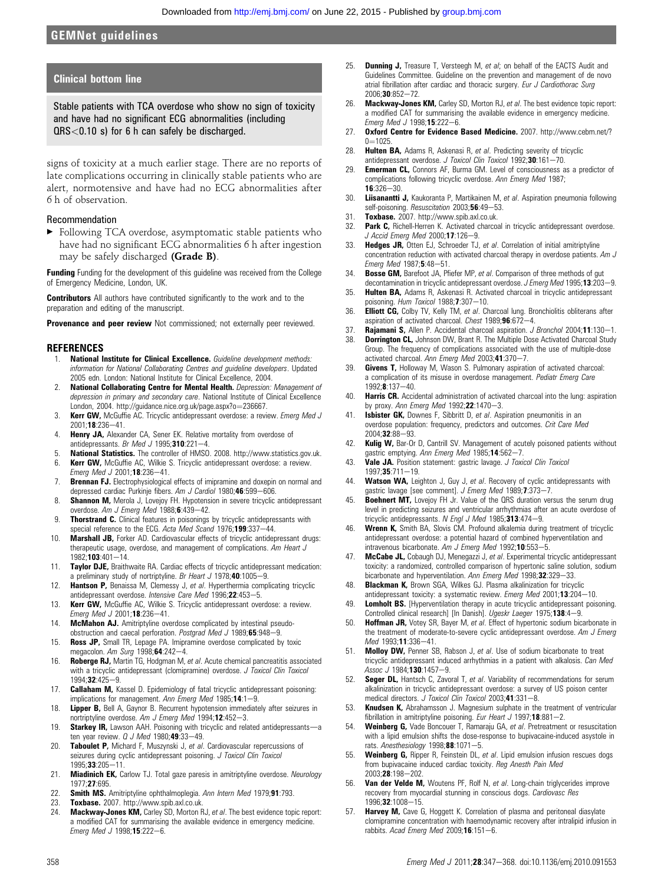## Clinical bottom line

Stable patients with TCA overdose who show no sign of toxicity and have had no significant ECG abnormalities (including QRS<0.10 s) for 6 h can safely be discharged.

signs of toxicity at a much earlier stage. There are no reports of late complications occurring in clinically stable patients who are alert, normotensive and have had no ECG abnormalities after 6 h of observation.

#### Recommendation

< Following TCA overdose, asymptomatic stable patients who have had no significant ECG abnormalities 6 h after ingestion may be safely discharged (Grade B).

**Funding** Funding for the development of this guideline was received from the College of Emergency Medicine, London, UK.

**Contributors** All authors have contributed significantly to the work and to the preparation and editing of the manuscript.

**Provenance and peer review** Not commissioned; not externally peer reviewed.

#### REFERENCES

- National Institute for Clinical Excellence. Guideline development methods: information for National Collaborating Centres and guideline developers. Updated 2005 edn. London: National Institute for Clinical Excellence, 2004.
- 2. National Collaborating Centre for Mental Health. Depression: Management of depression in primary and secondary care. National Institute of Clinical Excellence London, 2004. http://guidance.nice.org.uk/page.aspx?o=236667.
- 3. Kerr GW, McGuffie AC. Tricyclic antidepressant overdose: a review. Emerg Med J 2001;18:236-41.
- 4. **Henry JA,** Alexander CA, Sener EK. Relative mortality from overdose of antidepressants. Br Med J 1995;  $310:221-4$
- 5. **National Statistics.** The controller of HMSO. 2008. http://www.statistics.gov.uk.<br>6. **Kerr GW.** McGuffie AC. Wilkie S. Tricyclic antidepressant overdose: a review. Kerr GW, McGuffie AC, Wilkie S. Tricyclic antidepressant overdose: a review.
- Emerg Med J 2001;18:236-41. 7. **Brennan FJ.** Electrophysiological effects of imipramine and doxepin on normal and depressed cardiac Purkinje fibers. Am J Cardiol 1980;46:599-606.
- 8. Shannon M, Merola J, Lovejoy FH. Hypotension in severe tricyclic antidepressant overdose. Am J Emerg Med  $1988, 6:439-42$ .
- 9. **Thorstrand C.** Clinical features in poisonings by tricyclic antidepressants with special reference to the ECG. Acta Med Scand 1976;199:337-44.
- 10. **Marshall JB,** Forker AD. Cardiovascular effects of tricyclic antidepressant drugs: therapeutic usage, overdose, and management of complications. Am Heart J 1982;103:401-14.
- 11. Taylor DJE, Braithwaite RA. Cardiac effects of tricyclic antidepressant medication: a preliminary study of nortriptyline. Br Heart J 1978;40:1005-9.
- 12. Hantson P, Benaissa M, Clemessy J, et al. Hyperthermia complicating tricyclic antidepressant overdose. Intensive Care Med 1996;22:453-5.
- 13. Kerr GW, McGuffie AC, Wilkie S. Tricyclic antidepressant overdose: a review. Emerg Med J 2001;18:236-41.
- 14. McMahon AJ. Amitriptyline overdose complicated by intestinal pseudoobstruction and caecal perforation. Postgrad Med J 1989;65:948-9.
- 15. **Ross JP,** Small TR, Lepage PA. Imipramine overdose complicated by toxic megacolon. Am Surg  $1998,64.242-4.$
- 16. Roberge RJ, Martin TG, Hodgman M, et al. Acute chemical pancreatitis associated with a tricyclic antidepressant (clomipramine) overdose. J Toxicol Clin Toxicol 1994:32:425-9.
- 17. **Callaham M,** Kassel D. Epidemiology of fatal tricyclic antidepressant poisoning: implications for management. Ann Emerg Med 1985;14:1-9.
- 18. Lipper B, Bell A, Gaynor B. Recurrent hypotension immediately after seizures in nortriptyline overdose. Am J Emerg Med 1994;12:452-3.
- 19. Starkey IR, Lawson AAH. Poisoning with tricyclic and related antidepressants-a ten year review.  $Q$  J Med 1980; 49:33-49.
- 20. Taboulet P, Michard F, Muszynski J, et al. Cardiovascular repercussions of seizures during cyclic antidepressant poisoning. J Toxicol Clin Toxicol  $1995:33:205 - 11.$
- 21. Miadinich EK, Carlow TJ. Total gaze paresis in amitriptyline overdose. Neurology 1977;27:695.
- 22. Smith MS. Amitriptyline ophthalmoplegia. Ann Intern Med 1979;91:793.
- 23. **Toxbase.** 2007. http://www.spib.axl.co.uk.<br>24. **Mackway-Jones KM,** Carley SD. Morton R
- Mackway-Jones KM, Carley SD, Morton RJ, et al. The best evidence topic report: a modified CAT for summarising the available evidence in emergency medicine. Emerg Med J 1998;15:222-6.
- 25. **Dunning J.** Treasure T. Versteegh M, et al; on behalf of the EACTS Audit and Guidelines Committee. Guideline on the prevention and management of de novo atrial fibrillation after cardiac and thoracic surgery. Eur J Cardiothorac Surg 2006:30:852-72.
- 26. Mackway-Jones KM, Carley SD, Morton RJ, et al. The best evidence topic report: a modified CAT for summarising the available evidence in emergency medicine. Emerg Med J 1998:15:222-6.
- 27. Oxford Centre for Evidence Based Medicine. 2007. http://www.cebm.net/?  $0=1025$
- 28. Hulten BA, Adams R, Askenasi R, et al. Predicting severity of tricyclic antidepressant overdose. J Toxicol Clin Toxicol 1992;30:161-70.
- 29. Emerman CL, Connors AF, Burma GM. Level of consciousness as a predictor of complications following tricyclic overdose. Ann Emerg Med 1987;  $16:326 - 30.$
- 30. Liisanantti J. Kaukoranta P. Martikainen M. et al. Aspiration pneumonia following self-poisoning. Resuscitation 2003;56:49-53.
- 31. Toxbase. 2007. http://www.spib.axl.co.uk.
- 32. Park C, Richell-Herren K. Activated charcoal in tricyclic antidepressant overdose. J Accid Emerg Med 2000;17:126-9.
- 33. **Hedges JR,** Otten EJ, Schroeder TJ, et al. Correlation of initial amitriptyline concentration reduction with activated charcoal therapy in overdose patients. Am J Emerg Med 1987;5:48-51.
- 34. **Bosse GM, Barefoot JA, Pfiefer MP, et al. Comparison of three methods of gut** decontamination in tricyclic antidepressant overdose. J Emerg Med 1995;13:203-9.
- 35. Hulten BA, Adams R, Askenasi R. Activated charcoal in tricyclic antidepressant poisoning. Hum Toxicol 1988;7:307-10.
- 36. Elliott CG, Colby TV, Kelly TM, et al. Charcoal lung. Bronchiolitis obliterans after aspiration of activated charcoal. Chest 1989;96:672-4.
- 37. **Rajamani S,** Allen P. Accidental charcoal aspiration. *J Bronchol* 2004;11:130-1.<br>38. **Dorrington CL** Johnson DW, Brant B. The Multiple Dose Activated Charcoal Study.
- **Dorrington CL,** Johnson DW, Brant R. The Multiple Dose Activated Charcoal Study Group. The frequency of complications associated with the use of multiple-dose activated charcoal. Ann Emerg Med 2003;41:370-7.
- 39. Givens T, Holloway M, Wason S. Pulmonary aspiration of activated charcoal: a complication of its misuse in overdose management. Pediatr Emerg Care 1992;8:137-40.
- 40. Harris CR. Accidental administration of activated charcoal into the lung: aspiration by proxy. Ann Emerg Med 1992;22:1470-3.
- 41. **Isbister GK,** Downes F, Sibbritt D, et al. Aspiration pneumonitis in an overdose population: frequency, predictors and outcomes. Crit Care Med 2004;32:88-93.
- 42. Kulig W, Bar-Or D, Cantrill SV. Management of acutely poisoned patients without gastric emptying. Ann Emerg Med 1985;14:562-7.
- 43. Vale JA. Position statement: gastric lavage. J Toxicol Clin Toxicol 1997:35:711-19.
- 44. Watson WA, Leighton J, Guy J, et al. Recovery of cyclic antidepressants with gastric lavage [see comment]. J Emerg Med 1989;7:373-7.
- 45. Boehnert MT, Lovejoy FH Jr. Value of the QRS duration versus the serum drug level in predicting seizures and ventricular arrhythmias after an acute overdose of tricyclic antidepressants. N Engl J Med  $1985;313:474-9$ .
- 46. Wrenn K, Smith BA, Slovis CM. Profound alkalemia during treatment of tricyclic antidepressant overdose: a potential hazard of combined hyperventilation and intravenous bicarbonate. Am J Emerg Med 1992;10:553-5.
- 47. McCabe JL, Cobaugh DJ, Menegazzi J, et al. Experimental tricyclic antidepressant toxicity: a randomized, controlled comparison of hypertonic saline solution, sodium bicarbonate and hyperventilation. Ann Emerg Med 1998;32:329-33.
- 48. Blackman K, Brown SGA, Wilkes GJ. Plasma alkalinization for tricyclic antidepressant toxicity: a systematic review. Emerg Med 2001;13:204-10.
- 49. Lomholt BS. [Hyperventilation therapy in acute tricyclic antidepressant poisoning. Controlled clinical research] [In Danish]. Ugeskr Laeger 1975;138:4-9.
- 50. Hoffman JR, Votey SR, Bayer M, et al. Effect of hypertonic sodium bicarbonate in the treatment of moderate-to-severe cyclic antidepressant overdose. Am J Emerg Med 1993;11:336-41.
- 51. Molloy DW, Penner SB, Rabson J, et al. Use of sodium bicarbonate to treat tricyclic antidepressant induced arrhythmias in a patient with alkalosis. Can Med Assoc  $J$  1984; 130:1457-9.
- 52. Seger DL, Hantsch C, Zavoral T, et al. Variability of recommendations for serum alkalinization in tricyclic antidepressant overdose: a survey of US poison center medical directors. J Toxicol Clin Toxicol 2003;41:331-8.
- 53. Knudsen K, Abrahamsson J. Magnesium sulphate in the treatment of ventricular fibrillation in amitriptyline poisoning. Eur Heart J 1997;18:881-2.
- 54. **Weinberg G.** Vade Boncouer T. Ramaraju GA, et al. Pretreatment or resuscitation with a lipid emulsion shifts the dose-response to bupivacaine-induced asystole in rats. Anesthesiology  $1998;88:1071-5$ .
- 55. Weinberg G, Ripper R, Feinstein DL, et al. Lipid emulsion infusion rescues dogs from bupivacaine induced cardiac toxicity. Reg Anesth Pain Med 2003:28:198-202.
- 56. Van der Velde M, Woutens PF, Rolf N, et al. Long-chain triglycerides improve recovery from myocardial stunning in conscious dogs. Cardiovasc Res 1996;32:1008-15.
- 57. Harvey M, Cave G, Hoggett K. Correlation of plasma and peritoneal diasylate clomipramine concentration with haemodynamic recovery after intralipid infusion in rabbits. Acad Emerg Med 2009;16:151-6.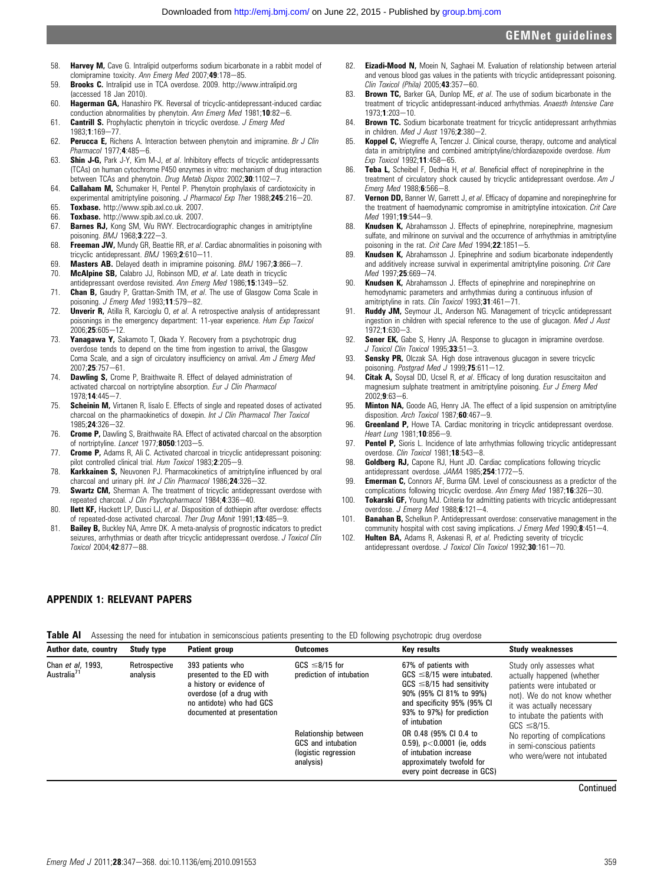- 58. Harvey M, Cave G. Intralipid outperforms sodium bicarbonate in a rabbit model of clomipramine toxicity. Ann Emerg Med 2007;49:178-85.
- 59. Brooks C. Intralipid use in TCA overdose. 2009. http://www.intralipid.org (accessed 18 Jan 2010).
- 60. Hagerman GA, Hanashiro PK. Reversal of tricyclic-antidepressant-induced cardiac conduction abnormalities by phenytoin. Ann Emerg Med 1981;10:82-6.
- 61. **Cantrill S.** Prophylactic phenytoin in tricyclic overdose. J Emerg Med 1983;1:169-77
- 62. Perucca E, Richens A. Interaction between phenytoin and imipramine. Br J Clin Pharmacol 1977;4:485-6.
- 63. Shin J-G, Park J-Y, Kim M-J, et al. Inhibitory effects of tricyclic antidepressants (TCAs) on human cytochrome P450 enzymes in vitro: mechanism of drug interaction between TCAs and phenytoin. Drug Metab Dispos 2002;30:1102-7.
- 64. **Callaham M,** Schumaker H, Pentel P. Phenytoin prophylaxis of cardiotoxicity in experimental amitriptyline poisoning. J Pharmacol Exp Ther 1988:245:216-20.
- 65. **Toxbase.** http://www.spib.axl.co.uk. 2007.<br>66. **Toxbase** http://www.spib.axl.co.uk. 2007.
- 66. **Toxbase.** http://www.spib.axl.co.uk. 2007.<br>67. **Barnes RJ.** Kong SM. Wu RWY. Electroca
- Barnes RJ, Kong SM, Wu RWY. Electrocardiographic changes in amitriptyline poisoning.  $BMJ$  1968; 3:222-3.
- 68. Freeman JW, Mundy GR, Beattie RR, et al. Cardiac abnormalities in poisoning with tricyclic antidepressant.  $BMJ$  1969: $2:610-11$ .
- 69. Masters AB. Delayed death in imipramine poisoning. BMJ 1967;3:866-7.
- 70. McAlpine SB, Calabro JJ, Robinson MD, et al. Late death in tricyclic antidepressant overdose revisited. Ann Emerg Med 1986;15:1349-52.
- 71. **Chan B,** Gaudry P, Grattan-Smith TM, et al. The use of Glasgow Coma Scale in poisoning. J Emerg Med 1993;11:579-82.
- 72. **Unverir R,** Atilla R, Karcioglu O, et al. A retrospective analysis of antidepressant poisonings in the emergency department: 11-year experience. Hum Exp Toxicol  $2006:25:605 - 12$
- 73. Yanagawa Y, Sakamoto T, Okada Y. Recovery from a psychotropic drug overdose tends to depend on the time from ingestion to arrival, the Glasgow Coma Scale, and a sign of circulatory insufficiency on arrival. Am J Emerg Med 2007;25:757-61.
- 74. **Dawling S,** Crome P, Braithwaite R. Effect of delayed administration of activated charcoal on nortriptyline absorption. Eur J Clin Pharmacol 1978;14:445-7
- 75. Scheinin M, Virtanen R, lisalo E. Effects of single and repeated doses of activated charcoal on the pharmaokinetics of doxepin. Int J Clin Pharmacol Ther Toxicol 1985; 24:326-32.
- 76. **Crome P,** Dawling S, Braithwaite RA. Effect of activated charcoal on the absorption of nortriptyline. Lancet  $1977$ : 8050:1203-5.
- 77. Crome P, Adams R, Ali C. Activated charcoal in tricyclic antidepressant poisoning: pilot controlled clinical trial. Hum Toxicol  $1983;2:205-9$ .
- 78. Karkkainen S, Neuvonen PJ. Pharmacokinetics of amitriptyline influenced by oral charcoal and urinary pH. Int J Clin Pharmacol 1986;  $24:326 - 32$ .
- 79. **Swartz CM,** Sherman A. The treatment of tricyclic antidepressant overdose with repeated charcoal. J Clin Psychopharmacol 1984;4:336-40.
- 80. **Ilett KF,** Hackett LP, Dusci LJ, et al. Disposition of dothiepin after overdose: effects of repeated-dose activated charcoal. Ther Drug Monit  $1991, 13.485 - 9$ .
- 81. **Bailey B,** Buckley NA, Amre DK. A meta-analysis of prognostic indicators to predict seizures, arrhythmias or death after tricyclic antidepressant overdose. J Toxicol Clin Toxicol 2004;42:877-88.
- 82. **Eizadi-Mood N,** Moein N, Saghaei M. Evaluation of relationship between arterial and venous blood gas values in the patients with tricyclic antidepressant poisoning. Clin Toxicol (Phila)  $2005;$  43:357-60.
- 83. Brown TC, Barker GA, Dunlop ME, et al. The use of sodium bicarbonate in the treatment of tricyclic antidepressant-induced arrhythmias. Anaesth Intensive Care 1973;1:203-10.
- 84. **Brown TC.** Sodium bicarbonate treatment for tricyclic antidepressant arrhythmias in children. Med J Aust 1976; $2:380-2$ .
- Koppel C, Wiegreffe A, Tenczer J. Clinical course, therapy, outcome and analytical data in amitriptyline and combined amitriptyline/chlordiazepoxide overdose. Hum Exp Toxicol 1992:11:458-65.
- 86. Teba L, Scheibel F, Dedhia H, et al. Beneficial effect of norepinephrine in the treatment of circulatory shock caused by tricyclic antidepressant overdose. Am J  $Fmera Med 1988:6:566-8.$
- 87. **Vernon DD.** Banner W. Garrett J. et al. Efficacy of dopamine and norepinephrine for the treatment of haemodynamic compromise in amitriptyline intoxication. Crit Care  $Med$  1991;19:544-9.
- 88. Knudsen K, Abrahamsson J. Effects of epinephrine, norepinephrine, magnesium sulfate, and milrinone on survival and the occurrence of arrhythmias in amitriptyline poisoning in the rat. Crit Care Med 1994;22:1851-5.
- 89. Knudsen K, Abrahamsson J. Epinephrine and sodium bicarbonate independently and additively increase survival in experimental amitriptyline poisoning. Crit Care Med 1997;25:669-74.
- 90. Knudsen K, Abrahamsson J. Effects of epinephrine and norepinephrine on hemodynamic parameters and arrhythmias during a continuous infusion of amitriptyline in rats. Clin Toxicol  $1993:31:461-71$ .
- 91. Ruddy JM, Seymour JL, Anderson NG. Management of tricyclic antidepressant ingestion in children with special reference to the use of glucagon. Med J Aust  $1972 \cdot 1.630 - 3$
- 92. **Sener EK,** Gabe S, Henry JA. Response to glucagon in imipramine overdose. J Toxicol Clin Toxicol  $1995:33:51-3$ .
- 93. Sensky PR, Olczak SA. High dose intravenous glucagon in severe tricyclic poisoning. Postgrad Med  $J$  1999;75:611-12.
- 94. Citak A, Soysal DD, Ucsel R, et al. Efficacy of long duration resuscitaiton and magnesium sulphate treatment in amitriptyline poisoning. Eur J Emerg Med  $2002963 - 6$
- 95. **Minton NA, Goode AG, Henry JA. The effect of a lipid suspension on amitriptyline** disposition. Arch Toxicol 1987;60:467-9.
- 96. Greenland P, Howe TA. Cardiac monitoring in tricyclic antidepressant overdose. Heart Lung 1981;10:856-9.
- 97. **Pentel P**, Sioris L. Incidence of late arrhythmias following tricyclic antidepressant overdose. Clin Toxicol 1981;18:543-8.
- 98. Goldberg RJ, Capone RJ, Hunt JD. Cardiac complications following tricyclic antidepressant overdose. JAMA 1985;254:1772-5.
- 99. **Emerman C,** Connors AF, Burma GM. Level of consciousness as a predictor of the complications following tricyclic overdose. Ann Emerg Med 1987;16:326-30.
- 100. Tokarski GF, Young MJ. Criteria for admitting patients with tricyclic antidepressant overdose. J Emerg Med  $1988; 6:121-4$ .
- 101. **Banahan B,** Schelkun P. Antidepressant overdose: conservative management in the community hospital with cost saving implications. J Emerg Med 1990; $8:451-4$ .
- 102. **Hulten BA,** Adams R, Askenasi R, et al. Predicting severity of tricyclic antidepressant overdose. J Toxicol Clin Toxicol 1992;30:161-70.

#### APPENDIX 1: RELEVANT PAPERS

Table AI Assessing the need for intubation in semiconscious patients presenting to the ED following psychotropic drug overdose

| Author date, country                                 | Study type                | Patient group                                                                                                                                                  | <b>Outcomes</b>                                                                        | <b>Key results</b>                                                                                                                                                                                  | <b>Study weaknesses</b>                                                                                                                                                                                 |
|------------------------------------------------------|---------------------------|----------------------------------------------------------------------------------------------------------------------------------------------------------------|----------------------------------------------------------------------------------------|-----------------------------------------------------------------------------------------------------------------------------------------------------------------------------------------------------|---------------------------------------------------------------------------------------------------------------------------------------------------------------------------------------------------------|
| Chan <i>et al</i> , 1993,<br>Australia <sup>71</sup> | Retrospective<br>analysis | 393 patients who<br>presented to the ED with<br>a history or evidence of<br>overdose (of a drug with<br>no antidote) who had GCS<br>documented at presentation | $GCS \leq 8/15$ for<br>prediction of intubation                                        | 67% of patients with<br>$GCS \leq 8/15$ were intubated.<br>$GCS \leq 8/15$ had sensitivity<br>90% (95% CI 81% to 99%)<br>and specificity 95% (95% CI<br>93% to 97%) for prediction<br>of intubation | Study only assesses what<br>actually happened (whether<br>patients were intubated or<br>not). We do not know whether<br>it was actually necessary<br>to intubate the patients with<br>$GCS \leq 8/15$ . |
|                                                      |                           |                                                                                                                                                                | Relationship between<br><b>GCS</b> and intubation<br>(logistic regression<br>analysis) | OR 0.48 (95% CI 0.4 to<br>0.59), $p < 0.0001$ (ie, odds<br>of intubation increase<br>approximately twofold for<br>every point decrease in GCS)                                                      | No reporting of complications<br>in semi-conscious patients<br>who were/were not intubated                                                                                                              |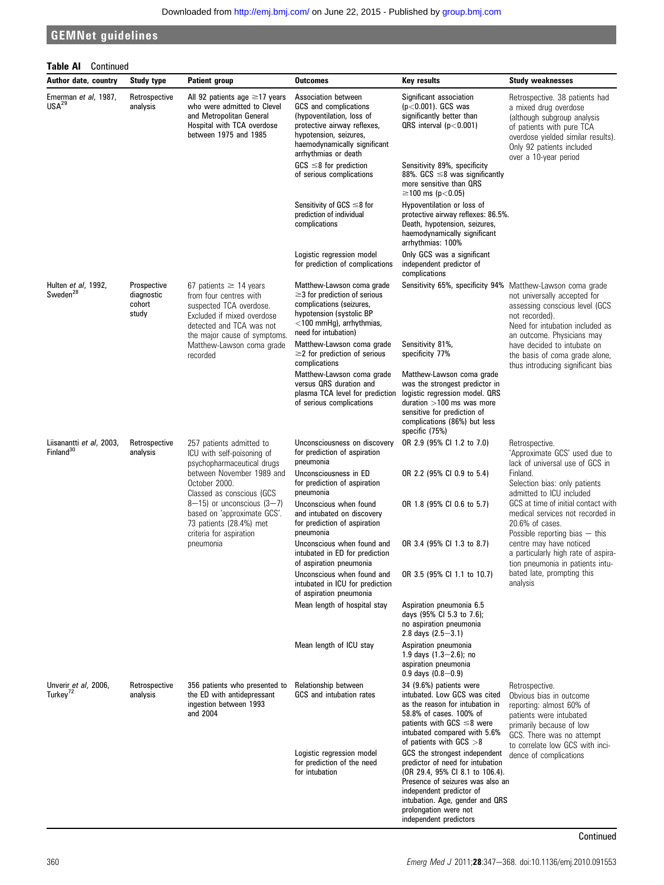## Table AI Continued

| Author date, country                              | <b>Study type</b>                            | <b>Patient group</b>                                                                                                                                                                                                                                                                                 | <b>Outcomes</b>                                                                                                                                                                                             | <b>Key results</b>                                                                                                                                                                                                                                         | <b>Study weaknesses</b>                                                                                                                                                                                         |
|---------------------------------------------------|----------------------------------------------|------------------------------------------------------------------------------------------------------------------------------------------------------------------------------------------------------------------------------------------------------------------------------------------------------|-------------------------------------------------------------------------------------------------------------------------------------------------------------------------------------------------------------|------------------------------------------------------------------------------------------------------------------------------------------------------------------------------------------------------------------------------------------------------------|-----------------------------------------------------------------------------------------------------------------------------------------------------------------------------------------------------------------|
| Emerman et al, 1987,<br>USA <sup>29</sup>         | Retrospective<br>analysis                    | All 92 patients age $\geq$ 17 years<br>who were admitted to Clevel<br>and Metropolitan General<br>Hospital with TCA overdose<br>between 1975 and 1985                                                                                                                                                | Association between<br>GCS and complications<br>(hypoventilation, loss of<br>protective airway reflexes,<br>hypotension, seizures,<br>haemodynamically significant<br>arrhythmias or death                  | Significant association<br>$(p<0.001)$ . GCS was<br>significantly better than<br>QRS interval $(p<0.001)$                                                                                                                                                  | Retrospective. 38 patients had<br>a mixed drug overdose<br>(although subgroup analysis<br>of patients with pure TCA<br>overdose yielded similar results).<br>Only 92 patients included<br>over a 10-year period |
|                                                   |                                              |                                                                                                                                                                                                                                                                                                      | $GCS \leq 8$ for prediction<br>of serious complications                                                                                                                                                     | Sensitivity 89%, specificity<br>88%. $GCS \leq 8$ was significantly<br>more sensitive than QRS<br>$≥100$ ms (p < 0.05)                                                                                                                                     |                                                                                                                                                                                                                 |
|                                                   |                                              |                                                                                                                                                                                                                                                                                                      | Sensitivity of GCS $\leq$ 8 for<br>prediction of individual<br>complications                                                                                                                                | Hypoventilation or loss of<br>protective airway reflexes: 86.5%.<br>Death, hypotension, seizures,<br>haemodynamically significant<br>arrhythmias: 100%                                                                                                     |                                                                                                                                                                                                                 |
|                                                   |                                              |                                                                                                                                                                                                                                                                                                      | Logistic regression model<br>for prediction of complications                                                                                                                                                | Only GCS was a significant<br>independent predictor of<br>complications                                                                                                                                                                                    |                                                                                                                                                                                                                 |
| Hulten et al, 1992,<br>Sweden <sup>28</sup>       | Prospective<br>diagnostic<br>cohort<br>study | 67 patients $\geq$ 14 years<br>from four centres with<br>suspected TCA overdose.<br>Excluded if mixed overdose<br>detected and TCA was not<br>the major cause of symptoms.<br>Matthew-Lawson coma grade                                                                                              | Matthew-Lawson coma grade<br>$\geq$ 3 for prediction of serious<br>complications (seizures,<br>hypotension (systolic BP<br>$<$ 100 mmHq), arrhythmias,<br>need for intubation)<br>Matthew-Lawson coma grade | Sensitivity 65%, specificity 94% Matthew-Lawson coma grade<br>Sensitivity 81%,                                                                                                                                                                             | not universally accepted for<br>assessing conscious level (GCS<br>not recorded).<br>Need for intubation included as<br>an outcome. Physicians may<br>have decided to intubate on                                |
|                                                   |                                              | recorded                                                                                                                                                                                                                                                                                             | $\geq$ 2 for prediction of serious<br>complications                                                                                                                                                         | specificity 77%                                                                                                                                                                                                                                            | the basis of coma grade alone,                                                                                                                                                                                  |
|                                                   |                                              |                                                                                                                                                                                                                                                                                                      | Matthew-Lawson coma grade<br>versus QRS duration and<br>plasma TCA level for prediction<br>of serious complications                                                                                         | Matthew-Lawson coma grade<br>was the strongest predictor in<br>logistic regression model. QRS<br>duration $>100$ ms was more<br>sensitive for prediction of<br>complications (86%) but less<br>specific (75%)                                              | thus introducing significant bias                                                                                                                                                                               |
| Liisanantti et al, 2003,<br>Finland <sup>30</sup> | Retrospective<br>analysis                    | 257 patients admitted to<br>ICU with self-poisoning of<br>psychopharmaceutical drugs<br>between November 1989 and<br>October 2000.<br>Classed as conscious (GCS<br>$8-15$ ) or unconscious $(3-7)$<br>based on 'approximate GCS'.<br>73 patients (28.4%) met<br>criteria for aspiration<br>pneumonia | Unconsciousness on discovery<br>for prediction of aspiration<br>pneumonia                                                                                                                                   | OR 2.9 (95% CI 1.2 to 7.0)                                                                                                                                                                                                                                 | Retrospective.<br>'Approximate GCS' used due to<br>lack of universal use of GCS in                                                                                                                              |
|                                                   |                                              |                                                                                                                                                                                                                                                                                                      | Unconsciousness in ED<br>for prediction of aspiration<br>pneumonia                                                                                                                                          | OR 2.2 (95% CI 0.9 to 5.4)                                                                                                                                                                                                                                 | Finland.<br>Selection bias: only patients<br>admitted to ICU included                                                                                                                                           |
|                                                   |                                              |                                                                                                                                                                                                                                                                                                      | Unconscious when found<br>and intubated on discovery<br>for prediction of aspiration<br>pneumonia                                                                                                           | OR 1.8 (95% CI 0.6 to 5.7)                                                                                                                                                                                                                                 | GCS at time of initial contact with<br>medical services not recorded in<br>20.6% of cases.<br>Possible reporting bias $-$ this                                                                                  |
|                                                   |                                              |                                                                                                                                                                                                                                                                                                      | Unconscious when found and<br>intubated in ED for prediction<br>of aspiration pneumonia                                                                                                                     | OR 3.4 (95% CI 1.3 to 8.7)                                                                                                                                                                                                                                 | centre may have noticed<br>a particularly high rate of aspira-<br>tion pneumonia in patients intu-                                                                                                              |
|                                                   |                                              |                                                                                                                                                                                                                                                                                                      | Unconscious when found and<br>intubated in ICU for prediction<br>of aspiration pneumonia                                                                                                                    | OR 3.5 (95% CI 1.1 to 10.7)                                                                                                                                                                                                                                | bated late, prompting this<br>analysis                                                                                                                                                                          |
|                                                   |                                              |                                                                                                                                                                                                                                                                                                      | Mean length of hospital stay                                                                                                                                                                                | Aspiration pneumonia 6.5<br>days (95% CI 5.3 to 7.6);<br>no aspiration pneumonia<br>2.8 days $(2.5 - 3.1)$                                                                                                                                                 |                                                                                                                                                                                                                 |
|                                                   |                                              |                                                                                                                                                                                                                                                                                                      | Mean length of ICU stay                                                                                                                                                                                     | Aspiration pneumonia<br>1.9 days $(1.3 - 2.6)$ ; no<br>aspiration pneumonia<br>$0.9$ days $(0.8 - 0.9)$                                                                                                                                                    |                                                                                                                                                                                                                 |
| Unverir et al. 2006.<br>Turkey <sup>72</sup>      | Retrospective<br>analysis                    | 356 patients who presented to<br>the ED with antidepressant<br>ingestion between 1993<br>and 2004                                                                                                                                                                                                    | Relationship between<br>GCS and intubation rates                                                                                                                                                            | 34 (9.6%) patients were<br>intubated. Low GCS was cited<br>as the reason for intubation in<br>58.8% of cases. 100% of<br>patients with GCS $\leq$ 8 were<br>intubated compared with 5.6%<br>of patients with $GCS > 8$                                     | Retrospective.<br>Obvious bias in outcome<br>reporting: almost 60% of<br>patients were intubated<br>primarily because of low<br>GCS. There was no attempt<br>to correlate low GCS with inci-                    |
|                                                   |                                              |                                                                                                                                                                                                                                                                                                      | Logistic regression model<br>for prediction of the need<br>for intubation                                                                                                                                   | GCS the strongest independent<br>predictor of need for intubation<br>(OR 29.4, 95% CI 8.1 to 106.4).<br>Presence of seizures was also an<br>independent predictor of<br>intubation. Age, gender and QRS<br>prolongation were not<br>independent predictors | dence of complications                                                                                                                                                                                          |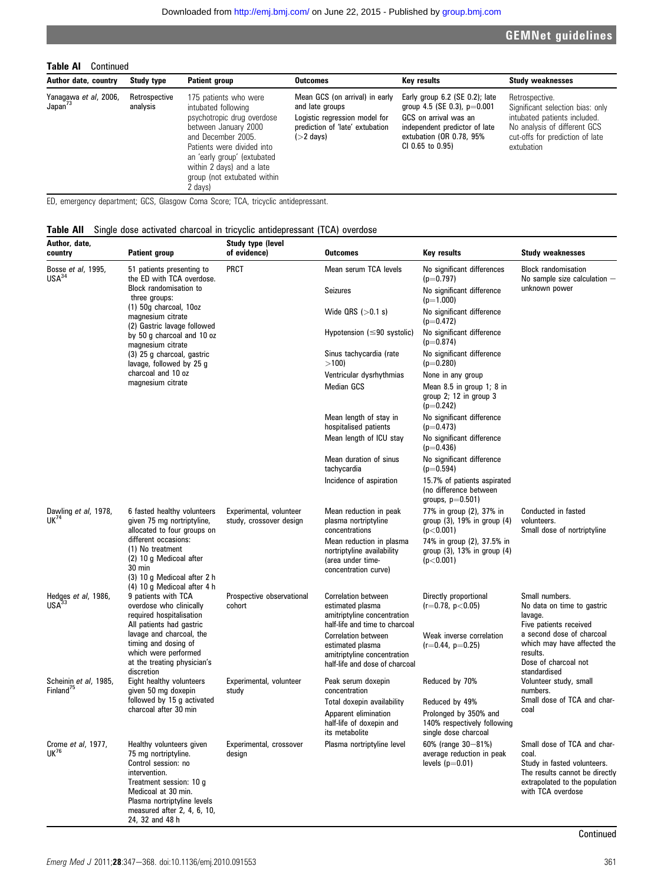# Table AI Continued

| Author date, country                         | Study type                | Patient group                                                                                                                                                                                                                                                | <b>Outcomes</b>                                                                                                                    | Key results                                                                                                                                                                 | <b>Study weaknesses</b>                                                                                                                                             |
|----------------------------------------------|---------------------------|--------------------------------------------------------------------------------------------------------------------------------------------------------------------------------------------------------------------------------------------------------------|------------------------------------------------------------------------------------------------------------------------------------|-----------------------------------------------------------------------------------------------------------------------------------------------------------------------------|---------------------------------------------------------------------------------------------------------------------------------------------------------------------|
| Yanagawa et al, 2006,<br>Japan <sup>73</sup> | Retrospective<br>analysis | 175 patients who were<br>intubated following<br>psychotropic drug overdose<br>between January 2000<br>and December 2005.<br>Patients were divided into<br>an 'early group' (extubated<br>within 2 days) and a late<br>group (not extubated within<br>2 days) | Mean GCS (on arrival) in early<br>and late groups<br>Logistic regression model for<br>prediction of 'late' extubation<br>(>2 days) | Early group 6.2 (SE 0.2); late<br>group 4.5 (SE 0.3), $p=0.001$<br>GCS on arrival was an<br>independent predictor of late<br>extubation (OR 0.78, 95%<br>$Cl$ 0.65 to 0.95) | Retrospective.<br>Significant selection bias: only<br>intubated patients included.<br>No analysis of different GCS<br>cut-offs for prediction of late<br>extubation |

ED, emergency department; GCS, Glasgow Coma Score; TCA, tricyclic antidepressant.

|  | Table All Single dose activated charcoal in tricyclic antidepressant (TCA) overdose |  |  |  |
|--|-------------------------------------------------------------------------------------|--|--|--|
|--|-------------------------------------------------------------------------------------|--|--|--|

| Author, date,<br>country                       | Patient group                                                                                                                                                                                                                           | <b>Study type (level</b><br>of evidence)           | <b>Outcomes</b>                                                                                                 | <b>Key results</b>                                                           | <b>Study weaknesses</b>                                                                                                                                      |
|------------------------------------------------|-----------------------------------------------------------------------------------------------------------------------------------------------------------------------------------------------------------------------------------------|----------------------------------------------------|-----------------------------------------------------------------------------------------------------------------|------------------------------------------------------------------------------|--------------------------------------------------------------------------------------------------------------------------------------------------------------|
| Bosse et al, 1995,<br>$USA^{34}$               | 51 patients presenting to<br>the ED with TCA overdose.                                                                                                                                                                                  | <b>PRCT</b>                                        | Mean serum TCA levels                                                                                           | No significant differences<br>$(p=0.797)$                                    | <b>Block randomisation</b><br>No sample size calculation $-$                                                                                                 |
|                                                | <b>Block randomisation to</b><br>three groups:                                                                                                                                                                                          |                                                    | <b>Seizures</b>                                                                                                 | No significant difference<br>$(p=1.000)$                                     | unknown power                                                                                                                                                |
|                                                | (1) 50g charcoal, 10oz<br>magnesium citrate                                                                                                                                                                                             |                                                    | Wide $QRS$ ( $>0.1$ s)                                                                                          | No significant difference<br>$(p=0.472)$                                     |                                                                                                                                                              |
|                                                | (2) Gastric lavage followed<br>by 50 g charcoal and 10 oz<br>magnesium citrate                                                                                                                                                          |                                                    | Hypotension ( $\leq 90$ systolic)                                                                               | No significant difference<br>$(p=0.874)$                                     |                                                                                                                                                              |
|                                                | (3) 25 g charcoal, gastric<br>lavage, followed by 25 g                                                                                                                                                                                  |                                                    | Sinus tachycardia (rate<br>>100                                                                                 | No significant difference<br>$(p=0.280)$                                     |                                                                                                                                                              |
|                                                | charcoal and 10 oz                                                                                                                                                                                                                      |                                                    | Ventricular dysrhythmias                                                                                        | None in any group                                                            |                                                                                                                                                              |
|                                                | magnesium citrate                                                                                                                                                                                                                       |                                                    | Median GCS                                                                                                      | Mean 8.5 in group 1; 8 in<br>group $2$ ; 12 in group $3$<br>$(p=0.242)$      |                                                                                                                                                              |
|                                                |                                                                                                                                                                                                                                         |                                                    | Mean length of stay in<br>hospitalised patients                                                                 | No significant difference<br>$(p=0.473)$                                     |                                                                                                                                                              |
|                                                |                                                                                                                                                                                                                                         |                                                    | Mean length of ICU stay                                                                                         | No significant difference<br>$(p=0.436)$                                     |                                                                                                                                                              |
|                                                |                                                                                                                                                                                                                                         |                                                    | Mean duration of sinus<br>tachycardia                                                                           | No significant difference<br>$(p=0.594)$                                     |                                                                                                                                                              |
|                                                |                                                                                                                                                                                                                                         |                                                    | Incidence of aspiration                                                                                         | 15.7% of patients aspirated<br>(no difference between<br>groups, $p=0.501$ ) |                                                                                                                                                              |
| Dawling et al, 1978,<br>$UK^{\prime 4}$        | 6 fasted healthy volunteers<br>given 75 mg nortriptyline,<br>allocated to four groups on<br>different occasions:<br>(1) No treatment<br>(2) 10 g Medicoal after<br>30 min<br>(3) 10 g Medicoal after 2 h<br>(4) 10 g Medicoal after 4 h | Experimental, volunteer<br>study, crossover design | Mean reduction in peak<br>plasma nortriptyline<br>concentrations                                                | 77% in group (2), 37% in<br>group $(3)$ , 19% in group $(4)$<br>(p<0.001)    | Conducted in fasted<br>volunteers.<br>Small dose of nortriptyline                                                                                            |
|                                                |                                                                                                                                                                                                                                         |                                                    | Mean reduction in plasma<br>nortriptyline availability<br>(area under time-<br>concentration curve)             | 74% in group (2), 37.5% in<br>group (3), 13% in group (4)<br>(p<0.001)       |                                                                                                                                                              |
| Hedges et al, 1986,<br>USA <sup>33</sup>       | 9 patients with TCA<br>overdose who clinically<br>required hospitalisation<br>All patients had gastric                                                                                                                                  | Prospective observational<br>cohort                | <b>Correlation between</b><br>estimated plasma<br>amitriptyline concentration<br>half-life and time to charcoal | Directly proportional<br>$(r=0.78, p<0.05)$                                  | Small numbers.<br>No data on time to gastric<br>lavage.<br>Five patients received                                                                            |
|                                                | lavage and charcoal, the<br>timing and dosing of<br>which were performed<br>at the treating physician's<br>discretion                                                                                                                   |                                                    | <b>Correlation between</b><br>estimated plasma<br>amitriptyline concentration<br>half-life and dose of charcoal | Weak inverse correlation<br>$(r=0.44, p=0.25)$                               | a second dose of charcoal<br>which may have affected the<br>results.<br>Dose of charcoal not<br>standardised                                                 |
| Scheinin et al, 1985,<br>Finland <sup>75</sup> | Eight healthy volunteers<br>given 50 mg doxepin                                                                                                                                                                                         | Experimental, volunteer<br>study                   | Peak serum doxepin<br>concentration                                                                             | Reduced by 70%                                                               | Volunteer study, small<br>numbers.                                                                                                                           |
|                                                | followed by 15 g activated<br>charcoal after 30 min                                                                                                                                                                                     |                                                    | Total doxepin availability                                                                                      | Reduced by 49%                                                               | Small dose of TCA and char-<br>coal                                                                                                                          |
|                                                |                                                                                                                                                                                                                                         |                                                    | Apparent elimination<br>half-life of doxepin and<br>its metabolite                                              | Prolonged by 350% and<br>140% respectively following<br>single dose charcoal |                                                                                                                                                              |
| Crome et al, 1977,<br>$UK^{76}$                | Healthy volunteers given<br>75 mg nortriptyline.<br>Control session: no<br>intervention.<br>Treatment session: 10 g<br>Medicoal at 30 min.<br>Plasma nortriptyline levels<br>measured after 2, 4, 6, 10,<br>24, 32 and 48 h             | Experimental, crossover<br>design                  | Plasma nortriptyline level                                                                                      | 60% (range 30-81%)<br>average reduction in peak<br>levels $(p=0.01)$         | Small dose of TCA and char-<br>coal.<br>Study in fasted volunteers.<br>The results cannot be directly<br>extrapolated to the population<br>with TCA overdose |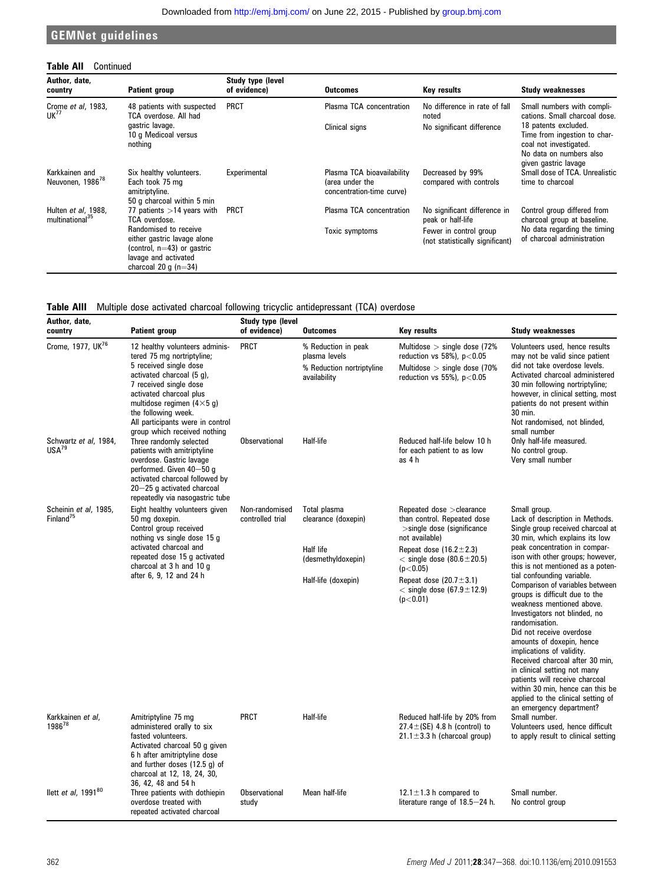# Table AII Continued

| Author, date,<br>country                           | <b>Patient group</b>                                                                                                                      | <b>Study type (level)</b><br>of evidence) | <b>Outcomes</b>                              | Key results                                               | <b>Study weaknesses</b>                                                                                                           |
|----------------------------------------------------|-------------------------------------------------------------------------------------------------------------------------------------------|-------------------------------------------|----------------------------------------------|-----------------------------------------------------------|-----------------------------------------------------------------------------------------------------------------------------------|
| Crome et al, 1983,<br>UK <sup>77</sup>             | 48 patients with suspected<br>TCA overdose. All had                                                                                       | <b>PRCT</b>                               | Plasma TCA concentration                     | No difference in rate of fall<br>noted                    | Small numbers with compli-<br>cations. Small charcoal dose.                                                                       |
|                                                    | gastric lavage.<br>10 g Medicoal versus<br>nothing                                                                                        |                                           | Clinical signs                               | No significant difference                                 | 18 patents excluded.<br>Time from ingestion to char-<br>coal not investigated.<br>No data on numbers also<br>given gastric lavage |
| Karkkainen and                                     | Six healthy volunteers.                                                                                                                   | Experimental                              | Plasma TCA bioavailability                   | Decreased by 99%                                          | Small dose of TCA. Unrealistic                                                                                                    |
| Neuvonen, 1986 <sup>78</sup>                       | Each took 75 mg<br>amitriptyline.<br>50 g charcoal within 5 min                                                                           |                                           | (area under the<br>concentration-time curve) | compared with controls                                    | time to charcoal                                                                                                                  |
| Hulten et al, 1988,<br>multinational <sup>35</sup> | 77 patients $>$ 14 years with<br>TCA overdose.                                                                                            | PRCT                                      | Plasma TCA concentration                     | No significant difference in<br>peak or half-life         | Control group differed from<br>charcoal group at baseline.                                                                        |
|                                                    | Randomised to receive<br>either gastric lavage alone<br>(control, $n=43$ ) or gastric<br>lavage and activated<br>charcoal 20 q ( $n=34$ ) |                                           | Toxic symptoms                               | Fewer in control group<br>(not statistically significant) | No data regarding the timing<br>of charcoal administration                                                                        |

|  |  |  |  |  |  | Table AIII Multiple dose activated charcoal following tricyclic antidepressant (TCA) overdose |  |  |
|--|--|--|--|--|--|-----------------------------------------------------------------------------------------------|--|--|
|--|--|--|--|--|--|-----------------------------------------------------------------------------------------------|--|--|

| Author, date,<br>country                        | <b>Patient group</b>                                                                                                                                                                                                                                                                                    | <b>Study type (level</b><br>of evidence) | <b>Outcomes</b>                                                                               | Key results                                                                                                                                                                                                                                                                | <b>Study weaknesses</b>                                                                                                                                                                                                                                                                                                                                          |
|-------------------------------------------------|---------------------------------------------------------------------------------------------------------------------------------------------------------------------------------------------------------------------------------------------------------------------------------------------------------|------------------------------------------|-----------------------------------------------------------------------------------------------|----------------------------------------------------------------------------------------------------------------------------------------------------------------------------------------------------------------------------------------------------------------------------|------------------------------------------------------------------------------------------------------------------------------------------------------------------------------------------------------------------------------------------------------------------------------------------------------------------------------------------------------------------|
| Crome, 1977, UK76                               | 12 healthy volunteers adminis-<br>tered 75 mg nortriptyline;<br>5 received single dose<br>activated charcoal (5 q),<br>7 received single dose<br>activated charcoal plus<br>multidose regimen $(4\times5$ g)<br>the following week.<br>All participants were in control<br>group which received nothing | <b>PRCT</b>                              | % Reduction in peak<br>plasma levels<br>% Reduction nortriptyline<br>availability             | Multidose $>$ single dose (72%)<br>reduction vs $58\%$ ), $p < 0.05$<br>Multidose $>$ single dose (70%)<br>reduction vs $55\%$ ), p<0.05                                                                                                                                   | Volunteers used, hence results<br>may not be valid since patient<br>did not take overdose levels.<br>Activated charcoal administered<br>30 min following nortriptyline;<br>however, in clinical setting, most<br>patients do not present within<br>30 min.<br>Not randomised, not blinded,<br>small number                                                       |
| Schwartz et al, 1984,<br>$USA^{79}$             | Three randomly selected<br>patients with amitriptyline<br>overdose. Gastric lavage<br>performed. Given 40-50 g<br>activated charcoal followed by<br>20-25 g activated charcoal<br>repeatedly via nasogastric tube                                                                                       | <b>Observational</b>                     | Half-life                                                                                     | Reduced half-life below 10 h<br>for each patient to as low<br>as 4 h                                                                                                                                                                                                       | Only half-life measured.<br>No control group.<br>Very small number                                                                                                                                                                                                                                                                                               |
| Scheinin et al, 1985,<br>Finland <sup>75</sup>  | Eight healthy volunteers given<br>50 mg doxepin.<br>Control group received<br>nothing vs single dose 15 g<br>activated charcoal and<br>repeated dose 15 g activated<br>charcoal at 3 h and 10 g<br>after 6, 9, 12 and 24 h                                                                              | Non-randomised<br>controlled trial       | Total plasma<br>clearance (doxepin)<br>Half life<br>(desmethyldoxepin)<br>Half-life (doxepin) | Repeated dose > clearance<br>than control. Repeated dose<br>>single dose (significance<br>not available)<br>Repeat dose $(16.2 \pm 2.3)$<br>$<$ single dose (80.6 $\pm$ 20.5)<br>(p<0.05)<br>Repeat dose $(20.7 \pm 3.1)$<br>$<$ single dose (67.9 $\pm$ 12.9)<br>(p<0.01) | Small group.<br>Lack of description in Methods.<br>Single group received charcoal at<br>30 min, which explains its low<br>peak concentration in compar-<br>ison with other groups; however,<br>this is not mentioned as a poten-<br>tial confounding variable.<br>Comparison of variables between<br>groups is difficult due to the<br>weakness mentioned above. |
|                                                 |                                                                                                                                                                                                                                                                                                         |                                          |                                                                                               |                                                                                                                                                                                                                                                                            | Investigators not blinded, no<br>randomisation.<br>Did not receive overdose<br>amounts of doxepin, hence<br>implications of validity.<br>Received charcoal after 30 min,<br>in clinical setting not many<br>patients will receive charcoal<br>within 30 min, hence can this be<br>applied to the clinical setting of<br>an emergency department?                 |
| Karkkainen <i>et al</i> ,<br>1986 <sup>78</sup> | Amitriptyline 75 mg<br>administered orally to six<br>fasted volunteers.<br>Activated charcoal 50 g given<br>6 h after amitriptyline dose<br>and further doses (12.5 g) of<br>charcoal at 12, 18, 24, 30,<br>36, 42, 48 and 54 h                                                                         | <b>PRCT</b>                              | Half-life                                                                                     | Reduced half-life by 20% from<br>$27.4 \pm (SE)$ 4.8 h (control) to<br>$21.1 \pm 3.3$ h (charcoal group)                                                                                                                                                                   | Small number.<br>Volunteers used, hence difficult<br>to apply result to clinical setting                                                                                                                                                                                                                                                                         |
| llett et al, 199180                             | Three patients with dothiepin<br>overdose treated with<br>repeated activated charcoal                                                                                                                                                                                                                   | <b>Observational</b><br>study            | Mean half-life                                                                                | 12.1 $\pm$ 1.3 h compared to<br>literature range of 18.5-24 h.                                                                                                                                                                                                             | Small number.<br>No control group                                                                                                                                                                                                                                                                                                                                |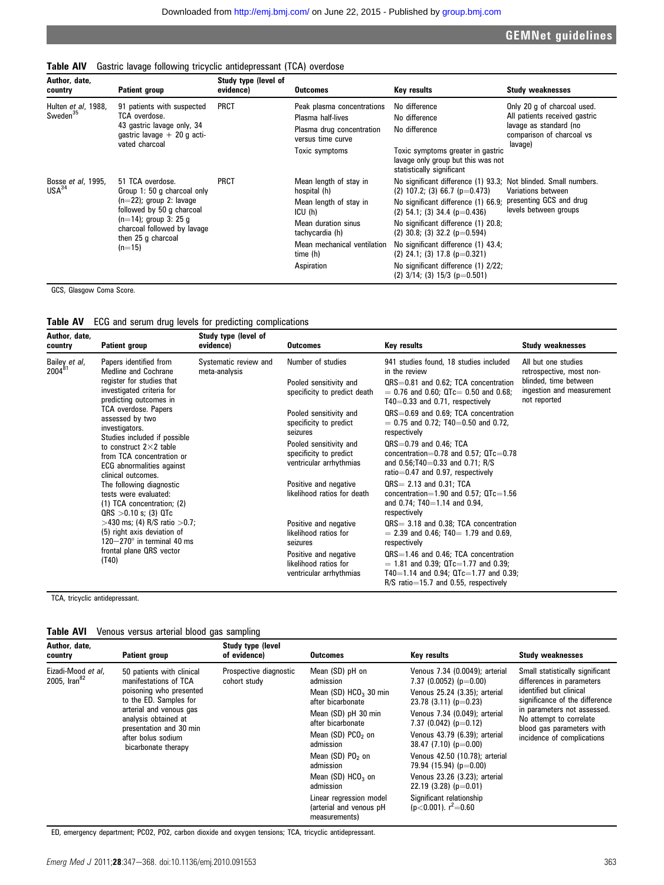|  |  |  |  |  |  | <b>Table AIV</b> Gastric lavage following tricyclic antidepressant (TCA) overdose |
|--|--|--|--|--|--|-----------------------------------------------------------------------------------|
|--|--|--|--|--|--|-----------------------------------------------------------------------------------|

| Author, date,<br>country                    | <b>Patient group</b>                                                                                                                                                                                    | Study type (level of<br>evidence) | <b>Outcomes</b>                                                                                                                                                               | Key results                                                                                                                                                                                                                                                                                                                                                                                            | <b>Study weaknesses</b>                                                                                                        |
|---------------------------------------------|---------------------------------------------------------------------------------------------------------------------------------------------------------------------------------------------------------|-----------------------------------|-------------------------------------------------------------------------------------------------------------------------------------------------------------------------------|--------------------------------------------------------------------------------------------------------------------------------------------------------------------------------------------------------------------------------------------------------------------------------------------------------------------------------------------------------------------------------------------------------|--------------------------------------------------------------------------------------------------------------------------------|
| Hulten et al, 1988,<br>Sweden <sup>35</sup> | 91 patients with suspected<br>TCA overdose.<br>43 gastric lavage only, 34<br>qastric lavage $+20$ q acti-<br>vated charcoal                                                                             | <b>PRCT</b>                       | Peak plasma concentrations<br>Plasma half-lives<br>Plasma drug concentration<br>versus time curve<br>Toxic symptoms                                                           | No difference<br>No difference<br>No difference<br>Toxic symptoms greater in gastric<br>lavage only group but this was not<br>statistically significant                                                                                                                                                                                                                                                | Only 20 g of charcoal used.<br>All patients received gastric<br>lavage as standard (no<br>comparison of charcoal vs<br>lavage) |
| Bosse et al, 1995,<br>$USA^{34}$            | 51 TCA overdose.<br>Group 1: 50 g charcoal only<br>$(n=22)$ ; group 2: lavage<br>followed by 50 g charcoal<br>$(n=14)$ ; group 3: 25 g<br>charcoal followed by lavage<br>then 25 g charcoal<br>$(n=15)$ | <b>PRCT</b>                       | Mean length of stay in<br>hospital (h)<br>Mean length of stay in<br>ICU(h)<br>Mean duration sinus<br>tachycardia (h)<br>Mean mechanical ventilation<br>time (h)<br>Aspiration | No significant difference (1) 93.3; Not blinded. Small numbers.<br>$(2)$ 107.2; (3) 66.7 (p=0.473)<br>No significant difference (1) 66.9;<br>$(2)$ 54.1; (3) 34.4 (p=0.436)<br>No significant difference (1) 20.8;<br>$(2)$ 30.8; (3) 32.2 (p=0.594)<br>No significant difference (1) 43.4;<br>$(2)$ 24.1; (3) 17.8 (p=0.321)<br>No significant difference (1) 2/22;<br>$(2)$ 3/14; (3) 15/3 (p=0.501) | Variations between<br>presenting GCS and drug<br>levels between groups                                                         |

GCS, Glasgow Coma Score.

| <b>Patient group</b>                                                                                           | Study type (level of<br>evidence)                    | <b>Outcomes</b>                                                             | Key results                                                                                                                                                           | Study weaknesses                                                   |
|----------------------------------------------------------------------------------------------------------------|------------------------------------------------------|-----------------------------------------------------------------------------|-----------------------------------------------------------------------------------------------------------------------------------------------------------------------|--------------------------------------------------------------------|
| Papers identified from<br><b>Medline and Cochrane</b>                                                          | Systematic review and<br>meta-analysis               | Number of studies                                                           | 941 studies found, 18 studies included<br>in the review                                                                                                               | All but one studies<br>retrospective, most non-                    |
| register for studies that<br>investigated criteria for<br>predicting outcomes in                               |                                                      | Pooled sensitivity and<br>specificity to predict death                      | QRS=0.81 and 0.62; TCA concentration<br>$= 0.76$ and 0.60; QTc= 0.50 and 0.68;<br>$T40=0.33$ and 0.71, respectively                                                   | blinded, time between<br>ingestion and measurement<br>not reported |
| assessed by two<br>investigators.                                                                              |                                                      | Pooled sensitivity and<br>specificity to predict<br>seizures                | QRS=0.69 and 0.69; TCA concentration<br>$= 0.75$ and 0.72; T40=0.50 and 0.72,<br>respectively                                                                         |                                                                    |
| to construct $2\times 2$ table<br>from TCA concentration or<br>ECG abnormalities against<br>clinical outcomes. |                                                      | Pooled sensitivity and<br>specificity to predict<br>ventricular arrhythmias | $QRS = 0.79$ and 0.46; TCA<br>concentration=0.78 and 0.57; $QTc=0.78$<br>and $0.56$ ; T40=0.33 and 0.71; R/S<br>ratio=0.47 and 0.97, respectively                     |                                                                    |
| The following diagnostic<br>tests were evaluated:<br>(1) TCA concentration; (2)<br>$ORS > 0.10 s$ ; (3) QTc    |                                                      | Positive and negative<br>likelihood ratios for death                        | $ORS = 2.13$ and 0.31; TCA<br>concentration= $1.90$ and $0.57$ ; $QTc=1.56$<br>and 0.74; $T40 = 1.14$ and 0.94,<br>respectively                                       |                                                                    |
| (5) right axis deviation of<br>$120 - 270$ ° in terminal 40 ms                                                 |                                                      | Positive and negative<br>likelihood ratios for<br>seizures                  | $ORS = 3.18$ and 0.38; TCA concentration<br>$=$ 2.39 and 0.46; T40 $=$ 1.79 and 0.69,<br>respectively                                                                 |                                                                    |
| frontal plane QRS vector<br>(T40)                                                                              |                                                      | Positive and negative<br>likelihood ratios for<br>ventricular arrhythmias   | $QRS = 1.46$ and 0.46; TCA concentration<br>$= 1.81$ and 0.39; QTc=1.77 and 0.39;<br>T40=1.14 and 0.94; QTc=1.77 and 0.39;<br>$R/S$ ratio=15.7 and 0.55, respectively |                                                                    |
|                                                                                                                | TCA overdose. Papers<br>Studies included if possible | $>$ 430 ms; (4) R/S ratio $>$ 0.7;                                          |                                                                                                                                                                       |                                                                    |

TCA, tricyclic antidepressant.

Table AVI Venous versus arterial blood gas sampling

| Author, date,<br>country                 | <b>Patient group</b>                                                                                                                                                                                                               | Study type (level<br>of evidence)      | Outcomes                                                            | <b>Key results</b>                                           | <b>Study weaknesses</b>                                                             |
|------------------------------------------|------------------------------------------------------------------------------------------------------------------------------------------------------------------------------------------------------------------------------------|----------------------------------------|---------------------------------------------------------------------|--------------------------------------------------------------|-------------------------------------------------------------------------------------|
| Eizadi-Mood et al.<br>2005, Iran $^{82}$ | 50 patients with clinical<br>manifestations of TCA<br>poisoning who presented<br>to the ED. Samples for<br>arterial and venous gas<br>analysis obtained at<br>presentation and 30 min<br>after bolus sodium<br>bicarbonate therapy | Prospective diagnostic<br>cohort study | Mean (SD) pH on<br>admission                                        | Venous 7.34 (0.0049); arterial<br>7.37 (0.0052) ( $p=0.00$ ) | Small statistically significant<br>differences in parameters                        |
|                                          |                                                                                                                                                                                                                                    |                                        | Mean $(SD)$ HCO <sub>3</sub> 30 min<br>after bicarbonate            | Venous 25.24 (3.35); arterial<br>23.78 (3.11) ( $p=0.23$ )   | identified but clinical<br>significance of the difference                           |
|                                          |                                                                                                                                                                                                                                    |                                        | Mean (SD) pH 30 min<br>after bicarbonate                            | Venous 7.34 (0.049); arterial<br>7.37 (0.042) ( $p=0.12$ )   | in parameters not assessed.<br>No attempt to correlate<br>blood gas parameters with |
|                                          |                                                                                                                                                                                                                                    |                                        | Mean $(SD)$ PCO <sub>2</sub> on<br>admission                        | Venous 43.79 (6.39); arterial<br>38.47 (7.10) ( $p=0.00$ )   | incidence of complications                                                          |
|                                          |                                                                                                                                                                                                                                    |                                        | Mean $(SD)$ PO <sub>2</sub> on<br>admission                         | Venous 42.50 (10.78); arterial<br>79.94 (15.94) ( $p=0.00$ ) |                                                                                     |
|                                          |                                                                                                                                                                                                                                    |                                        | Mean (SD) $HCO3$ on<br>admission                                    | Venous 23.26 (3.23); arterial<br>22.19 (3.28) ( $p=0.01$ )   |                                                                                     |
|                                          |                                                                                                                                                                                                                                    |                                        | Linear regression model<br>(arterial and venous pH<br>measurements) | Significant relationship<br>( $p$ < 0.001). $r^2$ = 0.60     |                                                                                     |

ED, emergency department; PCO2, PO2, carbon dioxide and oxygen tensions; TCA, tricyclic antidepressant.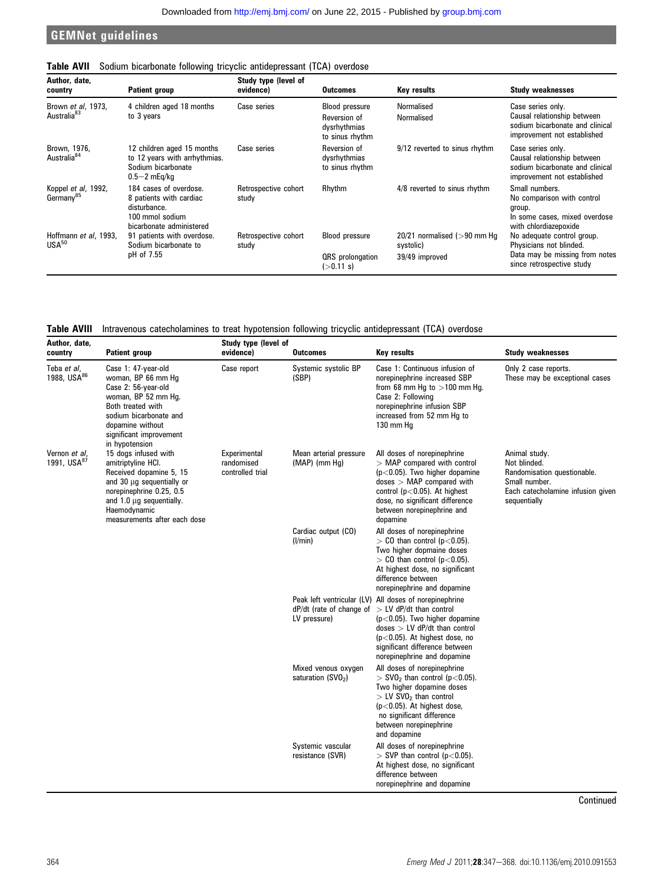|  |  |  |  |  |  | Table AVII Sodium bicarbonate following tricyclic antidepressant (TCA) overdose |  |
|--|--|--|--|--|--|---------------------------------------------------------------------------------|--|
|--|--|--|--|--|--|---------------------------------------------------------------------------------|--|

| Author, date,<br>country                              | <b>Patient group</b>                                                                                             | Study type (level of<br>evidence) | <b>Outcomes</b>                                                   | Key results                                                  | <b>Study weaknesses</b>                                                                                              |
|-------------------------------------------------------|------------------------------------------------------------------------------------------------------------------|-----------------------------------|-------------------------------------------------------------------|--------------------------------------------------------------|----------------------------------------------------------------------------------------------------------------------|
| Brown <i>et al</i> , 1973,<br>Australia <sup>83</sup> | 4 children aged 18 months<br>to 3 years                                                                          | Case series                       | Blood pressure<br>Reversion of<br>dysrhythmias<br>to sinus rhythm | Normalised<br>Normalised                                     | Case series only.<br>Causal relationship between<br>sodium bicarbonate and clinical<br>improvement not established   |
| Brown, 1976,<br>Australia <sup>84</sup>               | 12 children aged 15 months<br>to 12 years with arrhythmias.<br>Sodium bicarbonate<br>$0.5-2$ mEg/kg              | Case series                       | Reversion of<br>dysrhythmias<br>to sinus rhythm                   | 9/12 reverted to sinus rhythm                                | Case series only.<br>Causal relationship between<br>sodium bicarbonate and clinical<br>improvement not established   |
| Koppel et al, 1992,<br>Germany <sup>85</sup>          | 184 cases of overdose.<br>8 patients with cardiac<br>disturbance.<br>100 mmol sodium<br>bicarbonate administered | Retrospective cohort<br>study     | 4/8 reverted to sinus rhythm<br>Rhythm                            |                                                              | Small numbers.<br>No comparison with control<br>group.<br>In some cases, mixed overdose<br>with chlordiazepoxide     |
| Hoffmann et al, 1993,<br>$USA^{50}$                   | 91 patients with overdose.<br>Sodium bicarbonate to<br>pH of 7.55                                                | Retrospective cohort<br>study     | Blood pressure<br>QRS prolongation<br>(>0.11 s)                   | 20/21 normalised $(>90$ mm Hq<br>systolic)<br>39/49 improved | No adequate control group.<br>Physicians not blinded.<br>Data may be missing from notes<br>since retrospective study |

Table AVIII Intravenous catecholamines to treat hypotension following tricyclic antidepressant (TCA) overdose

| Author, date,<br>country                 | <b>Patient group</b>                                                                                                                                                                                       | Study type (level of<br>evidence)              | <b>Outcomes</b>                                       | <b>Key results</b>                                                                                                                                                                                                                                                                            | <b>Study weaknesses</b>                                                                                                            |
|------------------------------------------|------------------------------------------------------------------------------------------------------------------------------------------------------------------------------------------------------------|------------------------------------------------|-------------------------------------------------------|-----------------------------------------------------------------------------------------------------------------------------------------------------------------------------------------------------------------------------------------------------------------------------------------------|------------------------------------------------------------------------------------------------------------------------------------|
| Teba et al,<br>1988, USA <sup>86</sup>   | Case 1: 47-year-old<br>woman, BP 66 mm Hq<br>Case 2: 56-year-old<br>woman, BP 52 mm Hq.<br>Both treated with<br>sodium bicarbonate and<br>dopamine without<br>significant improvement<br>in hypotension    | Case report                                    | Systemic systolic BP<br>(SBP)                         | Case 1: Continuous infusion of<br>norepinephrine increased SBP<br>from 68 mm Hg to $>$ 100 mm Hg.<br>Case 2: Following<br>norepinephrine infusion SBP<br>increased from 52 mm Hg to<br>130 mm Hq                                                                                              | Only 2 case reports.<br>These may be exceptional cases                                                                             |
| Vernon et al,<br>1991, USA <sup>87</sup> | 15 dogs infused with<br>amitriptyline HCI.<br>Received dopamine 5, 15<br>and 30 µg sequentially or<br>norepinephrine 0.25, 0.5<br>and 1.0 µg sequentially.<br>Haemodynamic<br>measurements after each dose | Experimental<br>randomised<br>controlled trial | Mean arterial pressure<br>$(MAP)$ (mm $Hg$ )          | All doses of norepinephrine<br>> MAP compared with control<br>$(p<0.05)$ . Two higher dopamine<br>$doses > MAP$ compared with<br>control ( $p < 0.05$ ). At highest<br>dose, no significant difference<br>between norepinephrine and<br>dopamine                                              | Animal study.<br>Not blinded.<br>Randomisation questionable.<br>Small number.<br>Each catecholamine infusion given<br>sequentially |
|                                          |                                                                                                                                                                                                            |                                                | Cardiac output (CO)<br>$\frac{1}{\text{min}}$         | All doses of norepinephrine<br>$>$ CO than control (p $<$ 0.05).<br>Two higher dopmaine doses<br>$>$ CO than control (p $<$ 0.05).<br>At highest dose, no significant<br>difference between<br>norepinephrine and dopamine                                                                    |                                                                                                                                    |
|                                          |                                                                                                                                                                                                            |                                                | LV pressure)                                          | Peak left ventricular (LV) All doses of norepinephrine<br>$dP/dt$ (rate of change of $\geq$ LV dP/dt than control<br>$(p<0.05)$ . Two higher dopamine<br>$doses > LV$ dP/dt than control<br>$(p<0.05)$ . At highest dose, no<br>significant difference between<br>norepinephrine and dopamine |                                                                                                                                    |
|                                          |                                                                                                                                                                                                            |                                                | Mixed venous oxygen<br>saturation (SVO <sub>2</sub> ) | All doses of norepinephrine<br>$>$ SVO <sub>2</sub> than control ( $p$ <0.05).<br>Two higher dopamine doses<br>$>$ LV SVO <sub>2</sub> than control<br>$(p<0.05)$ . At highest dose,<br>no significant difference<br>between norepinephrine<br>and dopamine                                   |                                                                                                                                    |
|                                          |                                                                                                                                                                                                            |                                                | Systemic vascular<br>resistance (SVR)                 | All doses of norepinephrine<br>$>$ SVP than control (p $<$ 0.05).<br>At highest dose, no significant<br>difference between<br>norepinephrine and dopamine                                                                                                                                     |                                                                                                                                    |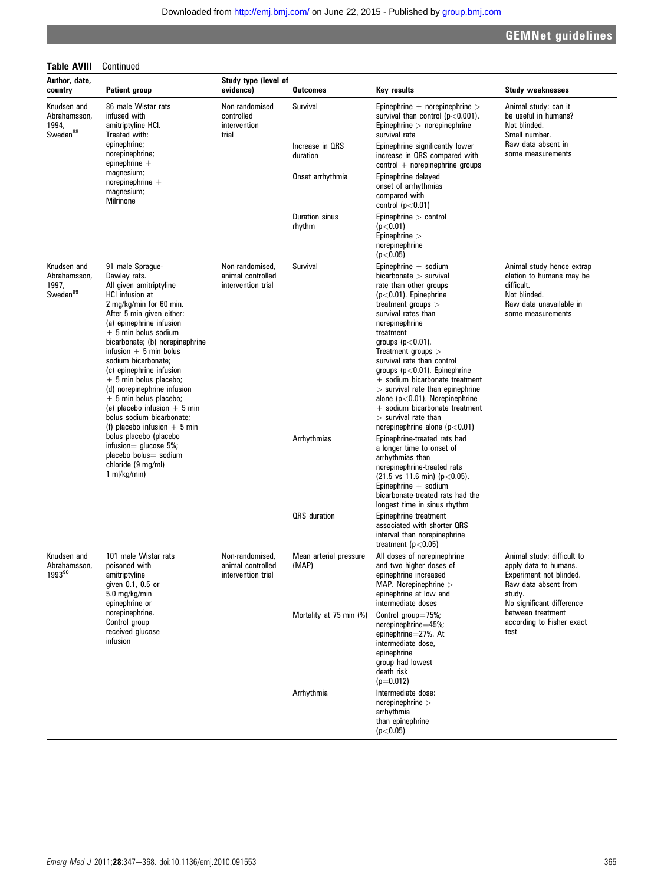## Table AVIII Continued

| Author, date,<br>country                                     | <b>Patient group</b>                                                                                                                                                                                                                                                                                                                                                                                                                                                                                                                                                                                                        | Study type (level of<br>evidence)                          | <b>Outcomes</b>                                | Key results                                                                                                                                                                                                                                                                                                                                                                                                                                                                                                                                                                                                                                                                                                                  | <b>Study weaknesses</b>                                                                                                                       |
|--------------------------------------------------------------|-----------------------------------------------------------------------------------------------------------------------------------------------------------------------------------------------------------------------------------------------------------------------------------------------------------------------------------------------------------------------------------------------------------------------------------------------------------------------------------------------------------------------------------------------------------------------------------------------------------------------------|------------------------------------------------------------|------------------------------------------------|------------------------------------------------------------------------------------------------------------------------------------------------------------------------------------------------------------------------------------------------------------------------------------------------------------------------------------------------------------------------------------------------------------------------------------------------------------------------------------------------------------------------------------------------------------------------------------------------------------------------------------------------------------------------------------------------------------------------------|-----------------------------------------------------------------------------------------------------------------------------------------------|
| Knudsen and<br>Abrahamsson,<br>1994,<br>Sweden <sup>88</sup> | 86 male Wistar rats<br>infused with<br>amitriptyline HCI.<br>Treated with:<br>epinephrine;<br>norepinephrine;                                                                                                                                                                                                                                                                                                                                                                                                                                                                                                               | Non-randomised<br>controlled<br>intervention<br>trial      | <b>Survival</b><br>Increase in QRS<br>duration | Epinephrine + norepinephrine $>$<br>survival than control ( $p < 0.001$ ).<br>Epinephrine > norepinephrine<br>survival rate<br>Epinephrine significantly lower<br>increase in QRS compared with                                                                                                                                                                                                                                                                                                                                                                                                                                                                                                                              | Animal study: can it<br>be useful in humans?<br>Not blinded.<br>Small number.<br>Raw data absent in<br>some measurements                      |
|                                                              | epinephrine $+$<br>magnesium;<br>norepinephrine $+$<br>magnesium;<br><b>Milrinone</b>                                                                                                                                                                                                                                                                                                                                                                                                                                                                                                                                       |                                                            | Onset arrhythmia                               | $control + norepinephrine groups$<br>Epinephrine delayed<br>onset of arrhythmias<br>compared with<br>control $(p<0.01)$                                                                                                                                                                                                                                                                                                                                                                                                                                                                                                                                                                                                      |                                                                                                                                               |
|                                                              |                                                                                                                                                                                                                                                                                                                                                                                                                                                                                                                                                                                                                             |                                                            | Duration sinus<br>rhythm                       | Epinephrine $>$ control<br>(p<0.01)<br>Epinephrine $>$<br>norepinephrine<br>(p<0.05)                                                                                                                                                                                                                                                                                                                                                                                                                                                                                                                                                                                                                                         |                                                                                                                                               |
| Knudsen and<br>Abrahamsson,<br>1997,<br>Sweden <sup>89</sup> | 91 male Sprague-<br>Dawley rats.<br>All given amitriptyline<br><b>HCI</b> infusion at<br>2 mg/kg/min for 60 min.<br>After 5 min given either:<br>(a) epinephrine infusion<br>+ 5 min bolus sodium<br>bicarbonate; (b) norepinephrine<br>infusion $+5$ min bolus<br>sodium bicarbonate;<br>(c) epinephrine infusion<br>+ 5 min bolus placebo;<br>(d) norepinephrine infusion<br>+ 5 min bolus placebo;<br>(e) placebo infusion $+5$ min<br>bolus sodium bicarbonate;<br>(f) placebo infusion $+5$ min<br>bolus placebo (placebo<br>infusion= glucose $5\%$ ;<br>placebo bolus = sodium<br>chloride (9 mg/ml)<br>1 ml/kg/min) | Non-randomised.<br>animal controlled<br>intervention trial | Survival<br>Arrhythmias                        | Epinephrine $+$ sodium<br>bicarbonate > survival<br>rate than other groups<br>$(p<0.01)$ . Epinephrine<br>treatment groups $>$<br>survival rates than<br>norepinephrine<br>treatment<br>groups ( $p < 0.01$ ).<br>Treatment groups $>$<br>survival rate than control<br>groups $(p<0.01)$ . Epinephrine<br>+ sodium bicarbonate treatment<br>$>$ survival rate than epinephrine<br>alone ( $p < 0.01$ ). Norepinephrine<br>+ sodium bicarbonate treatment<br>$>$ survival rate than<br>norepinephrine alone ( $p < 0.01$ )<br>Epinephrine-treated rats had<br>a longer time to onset of<br>arrhythmias than<br>norepinephrine-treated rats<br>$(21.5 \text{ vs } 11.6 \text{ min})$ (p $< 0.05$ ).<br>Epinephrine $+$ sodium | Animal study hence extrap<br>olation to humans may be<br>difficult.<br>Not blinded.<br>Raw data unavailable in<br>some measurements           |
|                                                              |                                                                                                                                                                                                                                                                                                                                                                                                                                                                                                                                                                                                                             |                                                            | QRS duration                                   | bicarbonate-treated rats had the<br>longest time in sinus rhythm<br>Epinephrine treatment<br>associated with shorter QRS<br>interval than norepinephrine<br>treatment $(p<0.05)$                                                                                                                                                                                                                                                                                                                                                                                                                                                                                                                                             |                                                                                                                                               |
| Knudsen and<br>Abrahamsson,<br>$1993\footnotesize^{90}$      | 101 male Wistar rats<br>poisoned with<br>amitriptyline<br>given 0.1, 0.5 or<br>5.0 mg/kg/min<br>epinephrine or                                                                                                                                                                                                                                                                                                                                                                                                                                                                                                              | Non-randomised,<br>animal controlled<br>intervention trial | Mean arterial pressure<br>(MAP)                | All doses of norepinephrine<br>and two higher doses of<br>epinephrine increased<br>MAP. Norepinephrine $>$<br>epinephrine at low and<br>intermediate doses                                                                                                                                                                                                                                                                                                                                                                                                                                                                                                                                                                   | Animal study: difficult to<br>apply data to humans.<br>Experiment not blinded.<br>Raw data absent from<br>study.<br>No significant difference |
|                                                              | norepinephrine.<br>Control group<br>received glucose<br>infusion                                                                                                                                                                                                                                                                                                                                                                                                                                                                                                                                                            |                                                            | Mortality at 75 min (%)                        | Control group=75%;<br>norepinephrine=45%;<br>epinephrine=27%. At<br>intermediate dose,<br>epinephrine<br>group had lowest<br>death risk<br>$(p=0.012)$                                                                                                                                                                                                                                                                                                                                                                                                                                                                                                                                                                       | between treatment<br>according to Fisher exact<br>test                                                                                        |
|                                                              |                                                                                                                                                                                                                                                                                                                                                                                                                                                                                                                                                                                                                             |                                                            | Arrhythmia                                     | Intermediate dose:<br>norepinephrine<br>arrhythmia<br>than epinephrine<br>(p<0.05)                                                                                                                                                                                                                                                                                                                                                                                                                                                                                                                                                                                                                                           |                                                                                                                                               |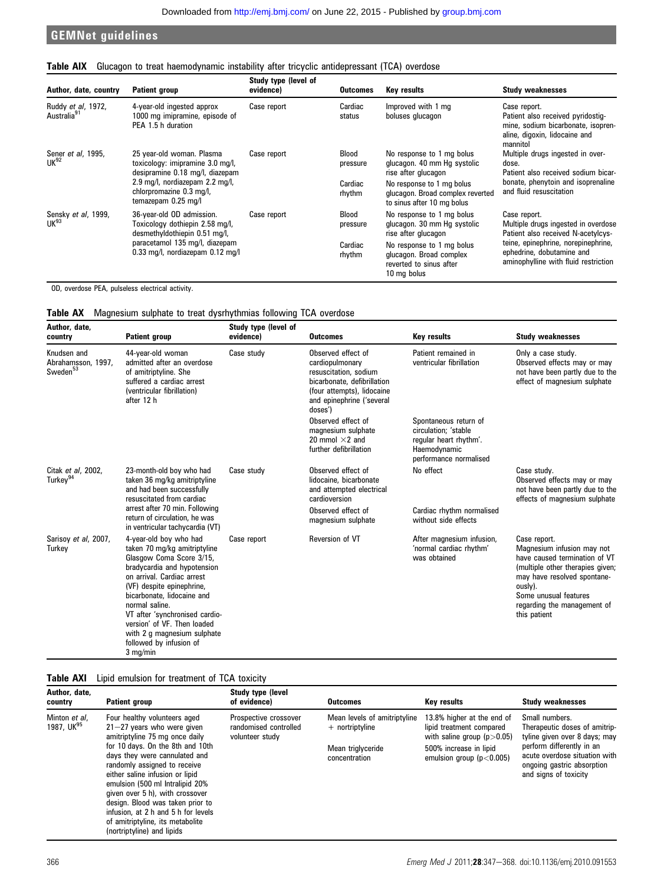|  | Table AIX Glucagon to treat haemodynamic instability after tricyclic antidepressant (TCA) overdose |  |  |  |  |  |  |
|--|----------------------------------------------------------------------------------------------------|--|--|--|--|--|--|
|--|----------------------------------------------------------------------------------------------------|--|--|--|--|--|--|

| Author, date, country                                        | <b>Patient group</b>                                                                                                                                                                   | Study type (level of<br>evidence) | <b>Outcomes</b>                               | Key results                                                                                                                                                                       | <b>Study weaknesses</b>                                                                                                                                                                               |
|--------------------------------------------------------------|----------------------------------------------------------------------------------------------------------------------------------------------------------------------------------------|-----------------------------------|-----------------------------------------------|-----------------------------------------------------------------------------------------------------------------------------------------------------------------------------------|-------------------------------------------------------------------------------------------------------------------------------------------------------------------------------------------------------|
| Ruddy et al, 1972,<br>Australia <sup>91</sup>                | 4-year-old ingested approx<br>1000 mg imipramine, episode of<br>PEA 1.5 h duration                                                                                                     | Case report                       | Cardiac<br>status                             | Improved with 1 mg<br>boluses glucagon                                                                                                                                            | Case report.<br>Patient also received pyridostig-<br>mine, sodium bicarbonate, isopren-<br>aline, digoxin, lidocaine and<br>mannitol                                                                  |
| Sener et al, 1995,<br>UK <sup>92</sup>                       | 25 year-old woman. Plasma<br>toxicology: imipramine 3.0 mg/l,<br>desipramine 0.18 mg/l, diazepam<br>2.9 mg/l, nordiazepam 2.2 mg/l,<br>chlorpromazine 0.3 mg/l,<br>temazepam 0.25 mg/l | Case report                       | <b>Blood</b><br>pressure<br>Cardiac<br>rhythm | No response to 1 mg bolus<br>glucagon. 40 mm Hg systolic<br>rise after glucagon<br>No response to 1 mg bolus<br>glucagon. Broad complex reverted<br>to sinus after 10 mg bolus    | Multiple drugs ingested in over-<br>dose.<br>Patient also received sodium bicar-<br>bonate, phenytoin and isoprenaline<br>and fluid resuscitation                                                     |
| Sensky et al, 1999,<br>$\overline{\mathsf{H}}$ <sub>83</sub> | 36-year-old OD admission.<br>Toxicology dothiepin 2.58 mg/l,<br>desmethyldothiepin 0.51 mg/l,<br>paracetamol 135 mg/l, diazepam<br>0.33 mg/l, nordiazepam 0.12 mg/l                    | Case report                       | <b>Blood</b><br>pressure<br>Cardiac<br>rhythm | No response to 1 mg bolus<br>glucagon. 30 mm Hg systolic<br>rise after glucagon<br>No response to 1 mg bolus<br>glucagon. Broad complex<br>reverted to sinus after<br>10 mg bolus | Case report.<br>Multiple drugs ingested in overdose<br>Patient also received N-acetylcys-<br>teine, epinephrine, norepinephrine,<br>ephedrine, dobutamine and<br>aminophylline with fluid restriction |

OD, overdose PEA, pulseless electrical activity.

|  |  |  |  | Table AX Magnesium sulphate to treat dysrhythmias following TCA overdose |  |  |  |
|--|--|--|--|--------------------------------------------------------------------------|--|--|--|
|--|--|--|--|--------------------------------------------------------------------------|--|--|--|

| Author, date,<br>country                                  | <b>Patient group</b>                                                                                                                                                                                                                                                                                                                                                  | Study type (level of<br>evidence) | <b>Outcomes</b>                                                                                                                                                     | <b>Key results</b>                                                                                                | <b>Study weaknesses</b>                                                                                                                                                                                                           |
|-----------------------------------------------------------|-----------------------------------------------------------------------------------------------------------------------------------------------------------------------------------------------------------------------------------------------------------------------------------------------------------------------------------------------------------------------|-----------------------------------|---------------------------------------------------------------------------------------------------------------------------------------------------------------------|-------------------------------------------------------------------------------------------------------------------|-----------------------------------------------------------------------------------------------------------------------------------------------------------------------------------------------------------------------------------|
| Knudsen and<br>Abrahamsson, 1997,<br>Sweden <sup>53</sup> | 44-year-old woman<br>admitted after an overdose<br>of amitriptyline. She<br>suffered a cardiac arrest<br>(ventricular fibrillation)<br>after 12 h                                                                                                                                                                                                                     | Case study                        | Observed effect of<br>cardiopulmonary<br>resuscitation, sodium<br>bicarbonate, defibrillation<br>(four attempts), lidocaine<br>and epinephrine ('several<br>doses') | Patient remained in<br>ventricular fibrillation                                                                   | Only a case study.<br>Observed effects may or may<br>not have been partly due to the<br>effect of magnesium sulphate                                                                                                              |
|                                                           |                                                                                                                                                                                                                                                                                                                                                                       |                                   | Observed effect of<br>magnesium sulphate<br>20 mmol $\times$ 2 and<br>further defibrillation                                                                        | Spontaneous return of<br>circulation; 'stable<br>regular heart rhythm'.<br>Haemodynamic<br>performance normalised |                                                                                                                                                                                                                                   |
| Citak et al, 2002,<br>Turkev <sup>94</sup>                | 23-month-old boy who had<br>taken 36 mg/kg amitriptyline<br>and had been successfully<br>resuscitated from cardiac                                                                                                                                                                                                                                                    | Case study                        | Observed effect of<br>lidocaine, bicarbonate<br>and attempted electrical<br>cardioversion                                                                           | No effect                                                                                                         | Case study.<br>Observed effects may or may<br>not have been partly due to the<br>effects of magnesium sulphate                                                                                                                    |
|                                                           | arrest after 70 min. Following<br>return of circulation, he was<br>in ventricular tachycardia (VT)                                                                                                                                                                                                                                                                    |                                   | Observed effect of<br>magnesium sulphate                                                                                                                            | Cardiac rhythm normalised<br>without side effects                                                                 |                                                                                                                                                                                                                                   |
| Sarisoy et al, 2007,<br>Turkey                            | 4-year-old boy who had<br>taken 70 mg/kg amitriptyline<br>Glasgow Coma Score 3/15,<br>bradycardia and hypotension<br>on arrival. Cardiac arrest<br>(VF) despite epinephrine,<br>bicarbonate, lidocaine and<br>normal saline.<br>VT after 'synchronised cardio-<br>version' of VF. Then loaded<br>with 2 g magnesium sulphate<br>followed by infusion of<br>$3$ mg/min | Case report                       | Reversion of VT                                                                                                                                                     | After magnesium infusion,<br>'normal cardiac rhythm'<br>was obtained                                              | Case report.<br>Magnesium infusion may not<br>have caused termination of VT<br>(multiple other therapies given;<br>may have resolved spontane-<br>ously).<br>Some unusual features<br>regarding the management of<br>this patient |

| Table AXI Lipid emulsion for treatment of TCA toxicity |
|--------------------------------------------------------|
|                                                        |

| Author, date,<br>country                | <b>Patient group</b>                                                                                                                                                                                                                                                                                                                                                                                                                                        | Study type (level<br>of evidence)                                 | <b>Outcomes</b>                                                                       | Key results                                                                                                                                          | <b>Study weaknesses</b>                                                                                                                                                                               |
|-----------------------------------------|-------------------------------------------------------------------------------------------------------------------------------------------------------------------------------------------------------------------------------------------------------------------------------------------------------------------------------------------------------------------------------------------------------------------------------------------------------------|-------------------------------------------------------------------|---------------------------------------------------------------------------------------|------------------------------------------------------------------------------------------------------------------------------------------------------|-------------------------------------------------------------------------------------------------------------------------------------------------------------------------------------------------------|
| Minton et al.<br>1987, UK <sup>95</sup> | Four healthy volunteers aged<br>$21 - 27$ years who were given<br>amitriptyline 75 mg once daily<br>for 10 days. On the 8th and 10th<br>days they were cannulated and<br>randomly assigned to receive<br>either saline infusion or lipid<br>emulsion (500 ml Intralipid 20%<br>given over 5 h), with crossover<br>design. Blood was taken prior to<br>infusion, at 2 h and 5 h for levels<br>of amitriptyline, its metabolite<br>(nortriptyline) and lipids | Prospective crossover<br>randomised controlled<br>volunteer study | Mean levels of amitriptyline<br>+ nortriptyline<br>Mean triglyceride<br>concentration | 13.8% higher at the end of<br>lipid treatment compared<br>with saline group $(p > 0.05)$<br>500% increase in lipid<br>emulsion group ( $p < 0.005$ ) | Small numbers.<br>Therapeutic doses of amitrip-<br>tyline given over 8 days; may<br>perform differently in an<br>acute overdose situation with<br>ongoing gastric absorption<br>and signs of toxicity |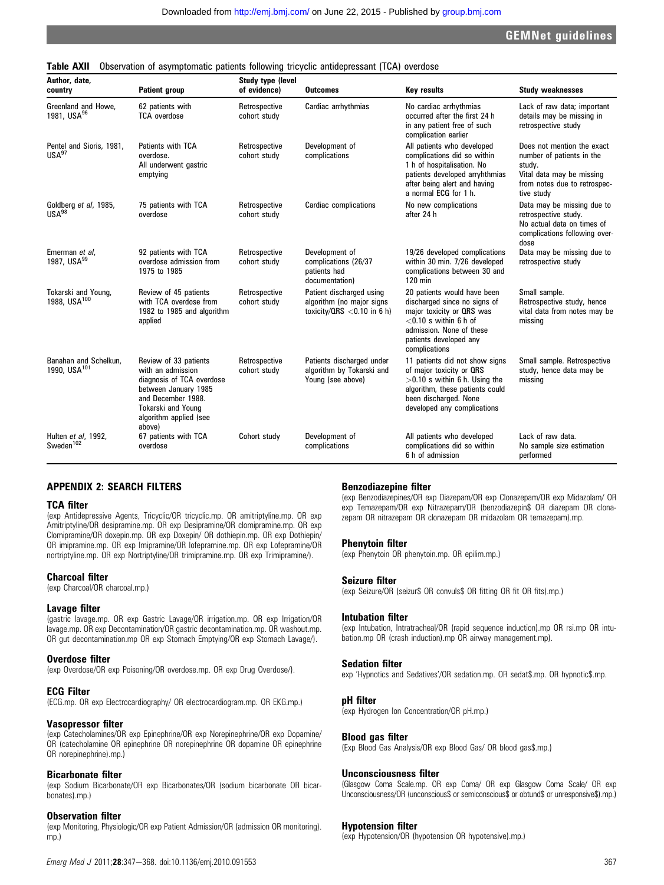#### Table AXII Observation of asymptomatic patients following tricyclic antidepressant (TCA) overdose

| Author, date,<br>country                          | <b>Patient group</b>                                                                                                                                                            | <b>Study type (level</b><br>of evidence) | <b>Outcomes</b>                                                                        | <b>Key results</b>                                                                                                                                                                          | <b>Study weaknesses</b>                                                                                                                      |
|---------------------------------------------------|---------------------------------------------------------------------------------------------------------------------------------------------------------------------------------|------------------------------------------|----------------------------------------------------------------------------------------|---------------------------------------------------------------------------------------------------------------------------------------------------------------------------------------------|----------------------------------------------------------------------------------------------------------------------------------------------|
| Greenland and Howe,<br>1981, USA <sup>96</sup>    | 62 patients with<br><b>TCA</b> overdose                                                                                                                                         | Retrospective<br>cohort study            | Cardiac arrhythmias                                                                    | No cardiac arrhythmias<br>occurred after the first 24 h<br>in any patient free of such<br>complication earlier                                                                              | Lack of raw data; important<br>details may be missing in<br>retrospective study                                                              |
| Pentel and Sioris, 1981,<br>USA <sup>97</sup>     | Patients with TCA<br>overdose.<br>All underwent gastric<br>emptying                                                                                                             | Retrospective<br>cohort study            | Development of<br>complications                                                        | All patients who developed<br>complications did so within<br>1 h of hospitalisation. No<br>patients developed arryhthmias<br>after being alert and having<br>a normal ECG for 1 h.          | Does not mention the exact<br>number of patients in the<br>study.<br>Vital data may be missing<br>from notes due to retrospec-<br>tive study |
| Goldberg et al, 1985,<br>USA <sup>98</sup>        | 75 patients with TCA<br>overdose                                                                                                                                                | Retrospective<br>cohort study            | Cardiac complications                                                                  | No new complications<br>after 24 h                                                                                                                                                          | Data may be missing due to<br>retrospective study.<br>No actual data on times of<br>complications following over-<br>dose                    |
| Emerman et al,<br>1987, USA <sup>99</sup>         | 92 patients with TCA<br>overdose admission from<br>1975 to 1985                                                                                                                 | Retrospective<br>cohort study            | Development of<br>complications (26/37<br>patients had<br>documentation)               | 19/26 developed complications<br>within 30 min. 7/26 developed<br>complications between 30 and<br>120 min                                                                                   | Data may be missing due to<br>retrospective study                                                                                            |
| Tokarski and Young,<br>1988, USA <sup>100</sup>   | Review of 45 patients<br>with TCA overdose from<br>1982 to 1985 and algorithm<br>applied                                                                                        | Retrospective<br>cohort study            | Patient discharged using<br>algorithm (no major signs<br>toxicity/QRS $<$ 0.10 in 6 h) | 20 patients would have been<br>discharged since no signs of<br>major toxicity or QRS was<br>$< 0.10$ s within 6 h of<br>admission. None of these<br>patients developed any<br>complications | Small sample.<br>Retrospective study, hence<br>vital data from notes may be<br>missing                                                       |
| Banahan and Schelkun.<br>1990, USA <sup>101</sup> | Review of 33 patients<br>with an admission<br>diagnosis of TCA overdose<br>between January 1985<br>and December 1988.<br>Tokarski and Young<br>algorithm applied (see<br>above) | Retrospective<br>cohort study            | Patients discharged under<br>algorithm by Tokarski and<br>Young (see above)            | 11 patients did not show signs<br>of major toxicity or QRS<br>$>0.10$ s within 6 h. Using the<br>algorithm, these patients could<br>been discharged. None<br>developed any complications    | Small sample. Retrospective<br>study, hence data may be<br>missing                                                                           |
| Hulten et al, 1992,<br>Sweden <sup>102</sup>      | 67 patients with TCA<br>overdose                                                                                                                                                | Cohort study                             | Development of<br>complications                                                        | All patients who developed<br>complications did so within<br>6 h of admission                                                                                                               | Lack of raw data.<br>No sample size estimation<br>performed                                                                                  |

#### APPENDIX 2: SEARCH FILTERS

#### TCA filter

(exp Antidepressive Agents, Tricyclic/OR tricyclic.mp. OR amitriptyline.mp. OR exp Amitriptyline/OR desipramine.mp. OR exp Desipramine/OR clomipramine.mp. OR exp Clomipramine/OR doxepin.mp. OR exp Doxepin/ OR dothiepin.mp. OR exp Dothiepin/ OR imipramine.mp. OR exp Imipramine/OR lofepramine.mp. OR exp Lofepramine/OR nortriptyline.mp. OR exp Nortriptyline/OR trimipramine.mp. OR exp Trimipramine/).

#### Charcoal filter

(exp Charcoal/OR charcoal.mp.)

#### Lavage filter

(gastric lavage.mp. OR exp Gastric Lavage/OR irrigation.mp. OR exp Irrigation/OR lavage.mp. OR exp Decontamination/OR gastric decontamination.mp. OR washout.mp. OR gut decontamination.mp OR exp Stomach Emptying/OR exp Stomach Lavage/).

#### Overdose filter

(exp Overdose/OR exp Poisoning/OR overdose.mp. OR exp Drug Overdose/).

#### ECG Filter

(ECG.mp. OR exp Electrocardiography/ OR electrocardiogram.mp. OR EKG.mp.)

#### Vasopressor filter

(exp Catecholamines/OR exp Epinephrine/OR exp Norepinephrine/OR exp Dopamine/ OR (catecholamine OR epinephrine OR norepinephrine OR dopamine OR epinephrine OR norepinephrine).mp.)

#### Bicarbonate filter

(exp Sodium Bicarbonate/OR exp Bicarbonates/OR (sodium bicarbonate OR bicarbonates).mp.)

#### Observation filter

(exp Monitoring, Physiologic/OR exp Patient Admission/OR (admission OR monitoring). mp.)

#### Benzodiazepine filter

(exp Benzodiazepines/OR exp Diazepam/OR exp Clonazepam/OR exp Midazolam/ OR exp Temazepam/OR exp Nitrazepam/OR (benzodiazepin\$ OR diazepam OR clonazepam OR nitrazepam OR clonazepam OR midazolam OR temazepam).mp.

#### Phenytoin filter

(exp Phenytoin OR phenytoin.mp. OR epilim.mp.)

#### Seizure filter

(exp Seizure/OR (seizur\$ OR convuls\$ OR fitting OR fit OR fits).mp.)

#### Intubation filter

(exp Intubation, Intratracheal/OR (rapid sequence induction).mp OR rsi.mp OR intubation.mp OR (crash induction).mp OR airway management.mp).

#### Sedation filter

exp 'Hypnotics and Sedatives'/OR sedation.mp. OR sedat\$.mp. OR hypnotic\$.mp.

#### pH filter

(exp Hydrogen Ion Concentration/OR pH.mp.)

#### Blood gas filter

(Exp Blood Gas Analysis/OR exp Blood Gas/ OR blood gas\$.mp.)

#### Unconsciousness filter

(Glasgow Coma Scale.mp. OR exp Coma/ OR exp Glasgow Coma Scale/ OR exp Unconsciousness/OR (unconscious\$ or semiconscious\$ or obtund\$ or unresponsive\$).mp.)

#### Hypotension filter

(exp Hypotension/OR (hypotension OR hypotensive).mp.)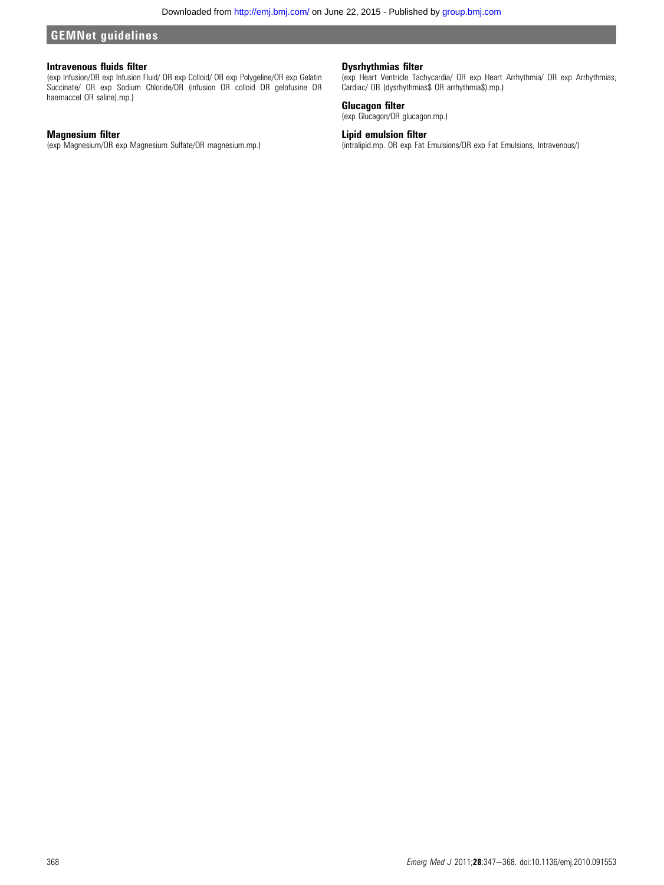Downloaded from<http://emj.bmj.com/>on June 22, 2015 - Published by [group.bmj.com](http://group.bmj.com)

# GEMNet guidelines

#### Intravenous fluids filter

(exp Infusion/OR exp Infusion Fluid/ OR exp Colloid/ OR exp Polygeline/OR exp Gelatin Succinate/ OR exp Sodium Chloride/OR (infusion OR colloid OR gelofusine OR haemaccel OR saline).mp.)

#### Magnesium filter

(exp Magnesium/OR exp Magnesium Sulfate/OR magnesium.mp.)

## Dysrhythmias filter

(exp Heart Ventricle Tachycardia/ OR exp Heart Arrhythmia/ OR exp Arrhythmias, Cardiac/ OR (dysrhythmias\$ OR arrhythmia\$).mp.)

#### Glucagon filter

(exp Glucagon/OR glucagon.mp.)

## Lipid emulsion filter

(intralipid.mp. OR exp Fat Emulsions/OR exp Fat Emulsions, Intravenous/)